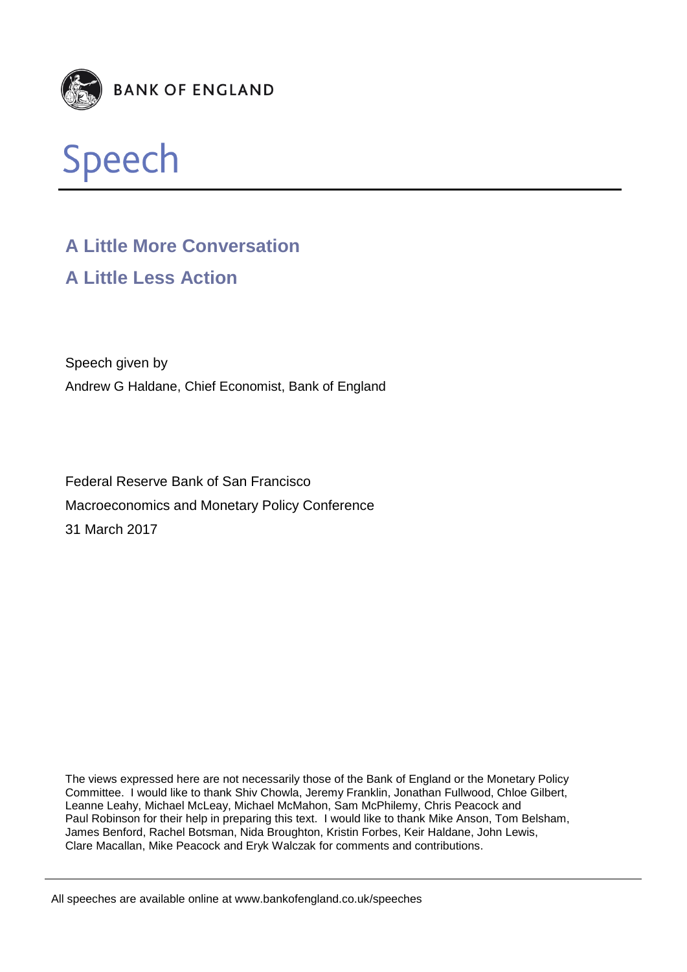



# **A Little More Conversation A Little Less Action**

Speech given by Andrew G Haldane, Chief Economist, Bank of England

Federal Reserve Bank of San Francisco Macroeconomics and Monetary Policy Conference 31 March 2017

The views expressed here are not necessarily those of the Bank of England or the Monetary Policy Committee. I would like to thank Shiv Chowla, Jeremy Franklin, Jonathan Fullwood, Chloe Gilbert, Leanne Leahy, Michael McLeay, Michael McMahon, Sam McPhilemy, Chris Peacock and Paul Robinson for their help in preparing this text. I would like to thank Mike Anson, Tom Belsham, James Benford, Rachel Botsman, Nida Broughton, Kristin Forbes, Keir Haldane, John Lewis, Clare Macallan, Mike Peacock and Eryk Walczak for comments and contributions.

All speeches are available online at www.bankofengland.co.uk/speeches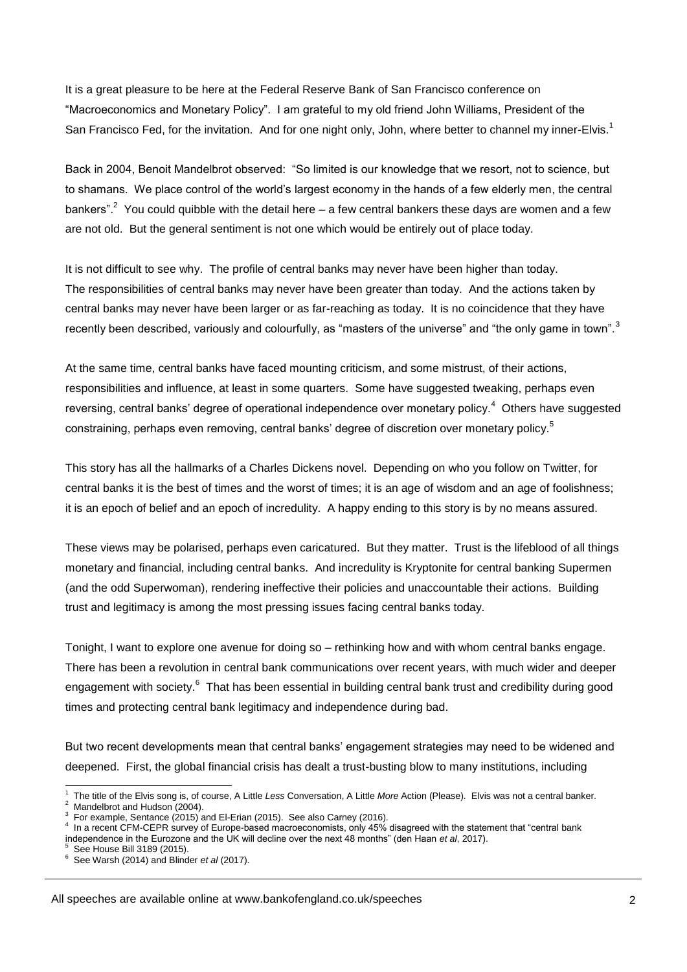It is a great pleasure to be here at the Federal Reserve Bank of San Francisco conference on "Macroeconomics and Monetary Policy". I am grateful to my old friend John Williams, President of the San Francisco Fed, for the invitation. And for one night only, John, where better to channel my inner-Elvis.<sup>1</sup>

Back in 2004, Benoit Mandelbrot observed: "So limited is our knowledge that we resort, not to science, but to shamans. We place control of the world's largest economy in the hands of a few elderly men, the central bankers".<sup>2</sup> You could quibble with the detail here – a few central bankers these days are women and a few are not old. But the general sentiment is not one which would be entirely out of place today.

It is not difficult to see why. The profile of central banks may never have been higher than today. The responsibilities of central banks may never have been greater than today. And the actions taken by central banks may never have been larger or as far-reaching as today. It is no coincidence that they have recently been described, variously and colourfully, as "masters of the universe" and "the only game in town".<sup>3</sup>

At the same time, central banks have faced mounting criticism, and some mistrust, of their actions, responsibilities and influence, at least in some quarters. Some have suggested tweaking, perhaps even reversing, central banks' degree of operational independence over monetary policy.<sup>4</sup> Others have suggested constraining, perhaps even removing, central banks' degree of discretion over monetary policy.<sup>5</sup>

This story has all the hallmarks of a Charles Dickens novel. Depending on who you follow on Twitter, for central banks it is the best of times and the worst of times; it is an age of wisdom and an age of foolishness; it is an epoch of belief and an epoch of incredulity. A happy ending to this story is by no means assured.

These views may be polarised, perhaps even caricatured. But they matter. Trust is the lifeblood of all things monetary and financial, including central banks. And incredulity is Kryptonite for central banking Supermen (and the odd Superwoman), rendering ineffective their policies and unaccountable their actions. Building trust and legitimacy is among the most pressing issues facing central banks today.

Tonight, I want to explore one avenue for doing so – rethinking how and with whom central banks engage. There has been a revolution in central bank communications over recent years, with much wider and deeper engagement with society.<sup>6</sup> That has been essential in building central bank trust and credibility during good times and protecting central bank legitimacy and independence during bad.

But two recent developments mean that central banks' engagement strategies may need to be widened and deepened. First, the global financial crisis has dealt a trust-busting blow to many institutions, including

-1 The title of the Elvis song is, of course, A Little *Less* Conversation, A Little *More* Action (Please). Elvis was not a central banker. 2 Mandelbrot and Hudson (2004).

<sup>3</sup> For example, Sentance (2015) and El-Erian (2015). See also Carney (2016).

<sup>4</sup> In a recent CFM-CEPR survey of Europe-based macroeconomists, only 45% disagreed with the statement that "central bank independence in the Eurozone and the UK will decline over the next 48 months" (den Haan *et al*, 2017).<br><sup>5</sup> See House Pill 3180 (2015)

See House Bill 3189 (2015).

<sup>6</sup> See Warsh (2014) and Blinder *et al* (2017).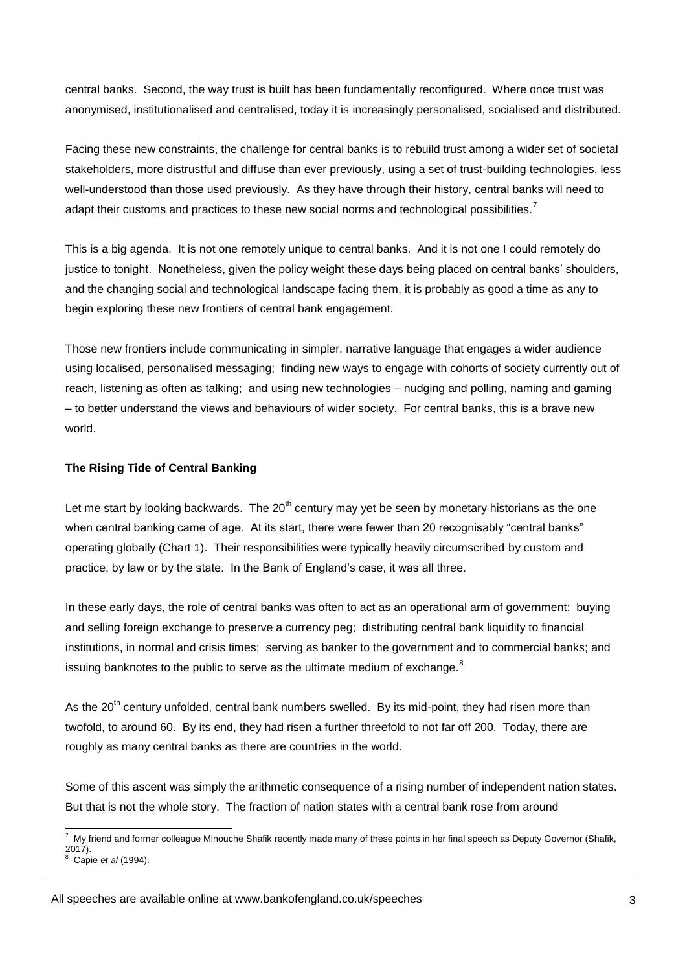central banks. Second, the way trust is built has been fundamentally reconfigured. Where once trust was anonymised, institutionalised and centralised, today it is increasingly personalised, socialised and distributed.

Facing these new constraints, the challenge for central banks is to rebuild trust among a wider set of societal stakeholders, more distrustful and diffuse than ever previously, using a set of trust-building technologies, less well-understood than those used previously. As they have through their history, central banks will need to adapt their customs and practices to these new social norms and technological possibilities.<sup>7</sup>

This is a big agenda. It is not one remotely unique to central banks. And it is not one I could remotely do justice to tonight. Nonetheless, given the policy weight these days being placed on central banks' shoulders, and the changing social and technological landscape facing them, it is probably as good a time as any to begin exploring these new frontiers of central bank engagement.

Those new frontiers include communicating in simpler, narrative language that engages a wider audience using localised, personalised messaging; finding new ways to engage with cohorts of society currently out of reach, listening as often as talking; and using new technologies – nudging and polling, naming and gaming – to better understand the views and behaviours of wider society. For central banks, this is a brave new world.

#### **The Rising Tide of Central Banking**

Let me start by looking backwards. The  $20<sup>th</sup>$  century may yet be seen by monetary historians as the one when central banking came of age. At its start, there were fewer than 20 recognisably "central banks" operating globally (Chart 1). Their responsibilities were typically heavily circumscribed by custom and practice, by law or by the state. In the Bank of England's case, it was all three.

In these early days, the role of central banks was often to act as an operational arm of government: buying and selling foreign exchange to preserve a currency peg; distributing central bank liquidity to financial institutions, in normal and crisis times; serving as banker to the government and to commercial banks; and issuing banknotes to the public to serve as the ultimate medium of exchange.<sup>8</sup>

As the 20<sup>th</sup> century unfolded, central bank numbers swelled. By its mid-point, they had risen more than twofold, to around 60. By its end, they had risen a further threefold to not far off 200. Today, there are roughly as many central banks as there are countries in the world.

Some of this ascent was simply the arithmetic consequence of a rising number of independent nation states. But that is not the whole story. The fraction of nation states with a central bank rose from around

<sup>-</sup><sup>7</sup> My friend and former colleague Minouche Shafik recently made many of these points in her final speech as Deputy Governor (Shafik, 2017). 8 Capie *et al* (1994).

All speeches are available online at www.bankofengland.co.uk/speeches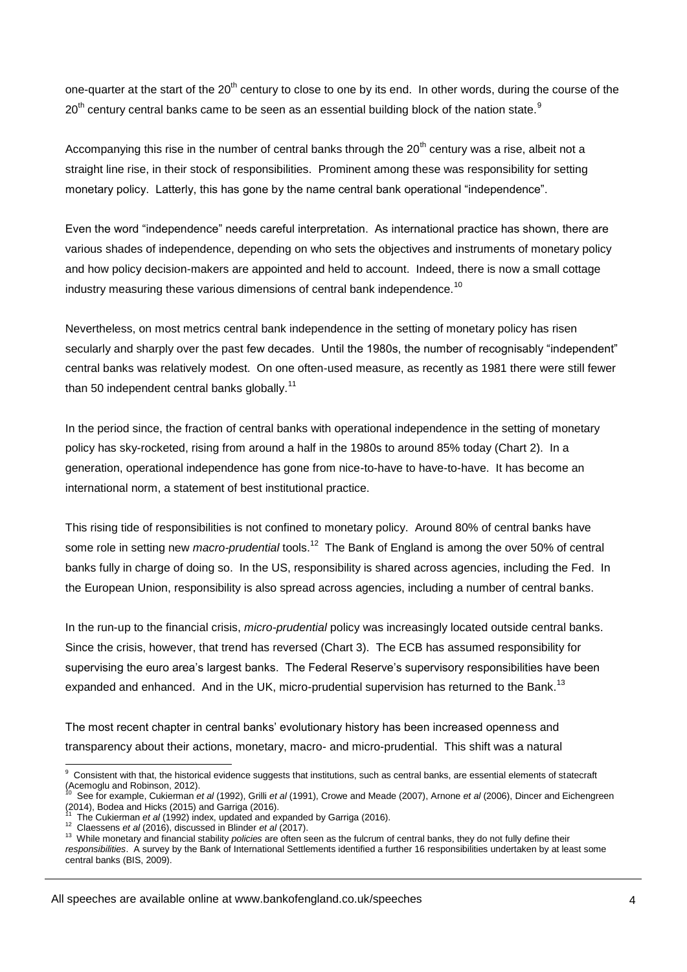one-quarter at the start of the 20<sup>th</sup> century to close to one by its end. In other words, during the course of the  $20<sup>th</sup>$  century central banks came to be seen as an essential building block of the nation state.<sup>9</sup>

Accompanying this rise in the number of central banks through the  $20<sup>th</sup>$  century was a rise, albeit not a straight line rise, in their stock of responsibilities. Prominent among these was responsibility for setting monetary policy. Latterly, this has gone by the name central bank operational "independence".

Even the word "independence" needs careful interpretation. As international practice has shown, there are various shades of independence, depending on who sets the objectives and instruments of monetary policy and how policy decision-makers are appointed and held to account. Indeed, there is now a small cottage industry measuring these various dimensions of central bank independence.<sup>10</sup>

Nevertheless, on most metrics central bank independence in the setting of monetary policy has risen secularly and sharply over the past few decades. Until the 1980s, the number of recognisably "independent" central banks was relatively modest. On one often-used measure, as recently as 1981 there were still fewer than 50 independent central banks globally.<sup>11</sup>

In the period since, the fraction of central banks with operational independence in the setting of monetary policy has sky-rocketed, rising from around a half in the 1980s to around 85% today (Chart 2). In a generation, operational independence has gone from nice-to-have to have-to-have. It has become an international norm, a statement of best institutional practice.

This rising tide of responsibilities is not confined to monetary policy. Around 80% of central banks have some role in setting new *macro-prudential* tools.<sup>12</sup> The Bank of England is among the over 50% of central banks fully in charge of doing so. In the US, responsibility is shared across agencies, including the Fed. In the European Union, responsibility is also spread across agencies, including a number of central banks.

In the run-up to the financial crisis, *micro-prudential* policy was increasingly located outside central banks. Since the crisis, however, that trend has reversed (Chart 3). The ECB has assumed responsibility for supervising the euro area's largest banks. The Federal Reserve's supervisory responsibilities have been expanded and enhanced. And in the UK, micro-prudential supervision has returned to the Bank.<sup>13</sup>

The most recent chapter in central banks' evolutionary history has been increased openness and transparency about their actions, monetary, macro- and micro-prudential. This shift was a natural

 9 Consistent with that, the historical evidence suggests that institutions, such as central banks, are essential elements of statecraft (Acemoglu and Robinson, 2012). 10

See for example, Cukierman *et al* (1992), Grilli *et al* (1991), Crowe and Meade (2007), Arnone *et al* (2006), Dincer and Eichengreen (2014), Bodea and Hicks (2015) and Garriga (2016).

<sup>11</sup> The Cukierman *et al* (1992) index, updated and expanded by Garriga (2016).

<sup>12</sup> Claessens *et al* (2016), discussed in Blinder *et al* (2017).

<sup>&</sup>lt;sup>13</sup> While monetary and financial stability *policies* are often seen as the fulcrum of central banks, they do not fully define their *responsibilities*. A survey by the Bank of International Settlements identified a further 16 responsibilities undertaken by at least some central banks (BIS, 2009).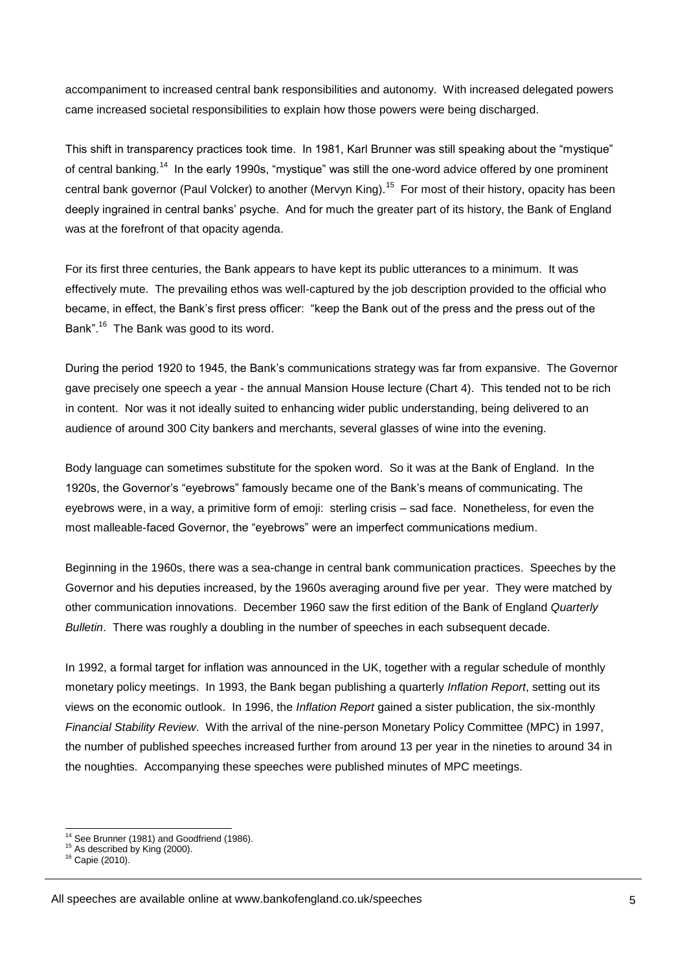accompaniment to increased central bank responsibilities and autonomy. With increased delegated powers came increased societal responsibilities to explain how those powers were being discharged.

This shift in transparency practices took time. In 1981, Karl Brunner was still speaking about the "mystique" of central banking.<sup>14</sup> In the early 1990s, "mystique" was still the one-word advice offered by one prominent central bank governor (Paul Volcker) to another (Mervyn King).<sup>15</sup> For most of their history, opacity has been deeply ingrained in central banks' psyche. And for much the greater part of its history, the Bank of England was at the forefront of that opacity agenda.

For its first three centuries, the Bank appears to have kept its public utterances to a minimum. It was effectively mute. The prevailing ethos was well-captured by the job description provided to the official who became, in effect, the Bank's first press officer: "keep the Bank out of the press and the press out of the Bank".<sup>16</sup> The Bank was good to its word.

During the period 1920 to 1945, the Bank's communications strategy was far from expansive. The Governor gave precisely one speech a year - the annual Mansion House lecture (Chart 4). This tended not to be rich in content. Nor was it not ideally suited to enhancing wider public understanding, being delivered to an audience of around 300 City bankers and merchants, several glasses of wine into the evening.

Body language can sometimes substitute for the spoken word. So it was at the Bank of England. In the 1920s, the Governor's "eyebrows" famously became one of the Bank's means of communicating. The eyebrows were, in a way, a primitive form of emoji: sterling crisis – sad face. Nonetheless, for even the most malleable-faced Governor, the "eyebrows" were an imperfect communications medium.

Beginning in the 1960s, there was a sea-change in central bank communication practices. Speeches by the Governor and his deputies increased, by the 1960s averaging around five per year. They were matched by other communication innovations. December 1960 saw the first edition of the Bank of England *Quarterly Bulletin*. There was roughly a doubling in the number of speeches in each subsequent decade.

In 1992, a formal target for inflation was announced in the UK, together with a regular schedule of monthly monetary policy meetings. In 1993, the Bank began publishing a quarterly *Inflation Report*, setting out its views on the economic outlook. In 1996, the *Inflation Report* gained a sister publication, the six-monthly *Financial Stability Review*. With the arrival of the nine-person Monetary Policy Committee (MPC) in 1997, the number of published speeches increased further from around 13 per year in the nineties to around 34 in the noughties. Accompanying these speeches were published minutes of MPC meetings.

<sup>-</sup><sup>14</sup> See Brunner (1981) and Goodfriend (1986).

<sup>&</sup>lt;sup>15</sup> As described by King (2000).

 $16$  Capie (2010).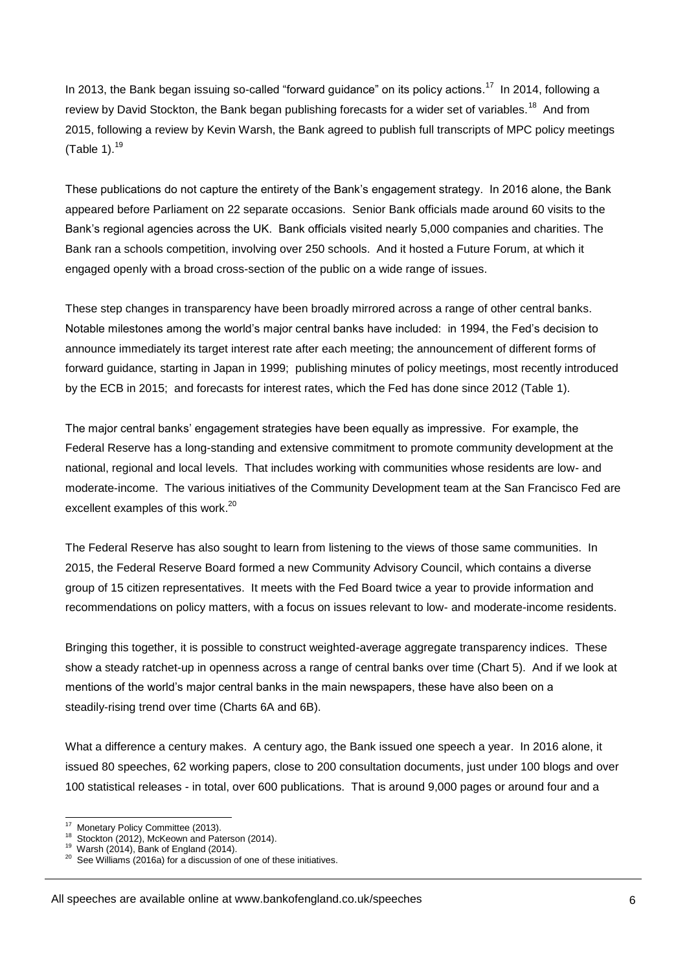In 2013, the Bank began issuing so-called "forward guidance" on its policy actions.<sup>17</sup> In 2014, following a review by David Stockton, the Bank began publishing forecasts for a wider set of variables.<sup>18</sup> And from 2015, following a review by Kevin Warsh, the Bank agreed to publish full transcripts of MPC policy meetings (Table 1). $19$ 

These publications do not capture the entirety of the Bank's engagement strategy. In 2016 alone, the Bank appeared before Parliament on 22 separate occasions. Senior Bank officials made around 60 visits to the Bank's regional agencies across the UK. Bank officials visited nearly 5,000 companies and charities. The Bank ran a schools competition, involving over 250 schools. And it hosted a Future Forum, at which it engaged openly with a broad cross-section of the public on a wide range of issues.

These step changes in transparency have been broadly mirrored across a range of other central banks. Notable milestones among the world's major central banks have included: in 1994, the Fed's decision to announce immediately its target interest rate after each meeting; the announcement of different forms of forward guidance, starting in Japan in 1999; publishing minutes of policy meetings, most recently introduced by the ECB in 2015; and forecasts for interest rates, which the Fed has done since 2012 (Table 1).

The major central banks' engagement strategies have been equally as impressive. For example, the Federal Reserve has a long-standing and extensive commitment to promote community development at the national, regional and local levels. That includes working with communities whose residents are low- and moderate-income. The various initiatives of the Community Development team at the San Francisco Fed are excellent examples of this work.<sup>20</sup>

The Federal Reserve has also sought to learn from listening to the views of those same communities. In 2015, the Federal Reserve Board formed a new Community Advisory Council, which contains a diverse group of 15 citizen representatives. It meets with the Fed Board twice a year to provide information and recommendations on policy matters, with a focus on issues relevant to low- and moderate-income residents.

Bringing this together, it is possible to construct weighted-average aggregate transparency indices. These show a steady ratchet-up in openness across a range of central banks over time (Chart 5). And if we look at mentions of the world's major central banks in the main newspapers, these have also been on a steadily-rising trend over time (Charts 6A and 6B).

What a difference a century makes. A century ago, the Bank issued one speech a year. In 2016 alone, it issued 80 speeches, 62 working papers, close to 200 consultation documents, just under 100 blogs and over 100 statistical releases - in total, over 600 publications. That is around 9,000 pages or around four and a

 $17$ <sup>17</sup> Monetary Policy Committee (2013).

Stockton (2012), McKeown and Paterson (2014).

 $19$  Warsh (2014), Bank of England (2014).

 $20$  See Williams (2016a) for a discussion of one of these initiatives.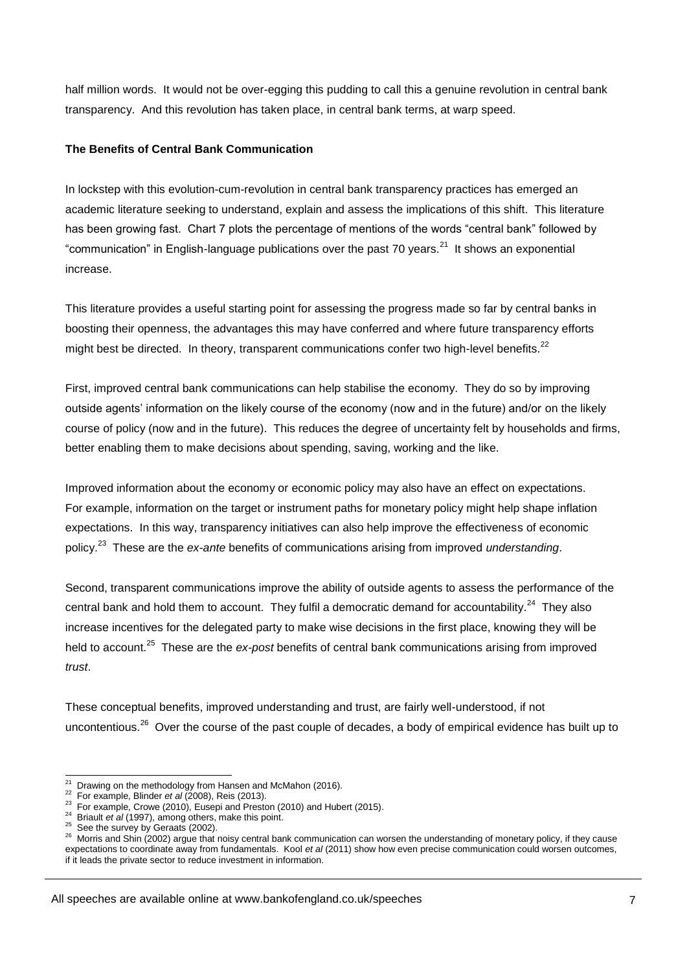half million words. It would not be over-egging this pudding to call this a genuine revolution in central bank transparency. And this revolution has taken place, in central bank terms, at warp speed.

#### **The Benefits of Central Bank Communication**

In lockstep with this evolution-cum-revolution in central bank transparency practices has emerged an academic literature seeking to understand, explain and assess the implications of this shift. This literature has been growing fast. Chart 7 plots the percentage of mentions of the words "central bank" followed by "communication" in English-language publications over the past 70 years.<sup>21</sup> It shows an exponential increase.

This literature provides a useful starting point for assessing the progress made so far by central banks in boosting their openness, the advantages this may have conferred and where future transparency efforts might best be directed. In theory, transparent communications confer two high-level benefits. $^{22}$ 

First, improved central bank communications can help stabilise the economy. They do so by improving outside agents' information on the likely course of the economy (now and in the future) and/or on the likely course of policy (now and in the future). This reduces the degree of uncertainty felt by households and firms, better enabling them to make decisions about spending, saving, working and the like.

Improved information about the economy or economic policy may also have an effect on expectations. For example, information on the target or instrument paths for monetary policy might help shape inflation expectations. In this way, transparency initiatives can also help improve the effectiveness of economic policy.<sup>23</sup> These are the *ex-ante* benefits of communications arising from improved *understanding*.

Second, transparent communications improve the ability of outside agents to assess the performance of the central bank and hold them to account. They fulfil a democratic demand for accountability.<sup>24</sup> They also increase incentives for the delegated party to make wise decisions in the first place, knowing they will be held to account.<sup>25</sup> These are the ex-post benefits of central bank communications arising from improved *trust*.

These conceptual benefits, improved understanding and trust, are fairly well-understood, if not uncontentious.<sup>26</sup> Over the course of the past couple of decades, a body of empirical evidence has built up to

 $\frac{1}{21}$ Drawing on the methodology from Hansen and McMahon (2016).

 $22$ For example, Blinder *et al* (2008), Reis (2013).

 $^{23}$  For example, Crowe (2010), Eusepi and Preston (2010) and Hubert (2015).

<sup>24</sup> Briault *et al* (1997), among others, make this point.

 $25$  See the survey by Geraats (2002).

<sup>26</sup> Morris and Shin (2002) argue that noisy central bank communication can worsen the understanding of monetary policy, if they cause expectations to coordinate away from fundamentals. Kool *et al* (2011) show how even precise communication could worsen outcomes, if it leads the private sector to reduce investment in information.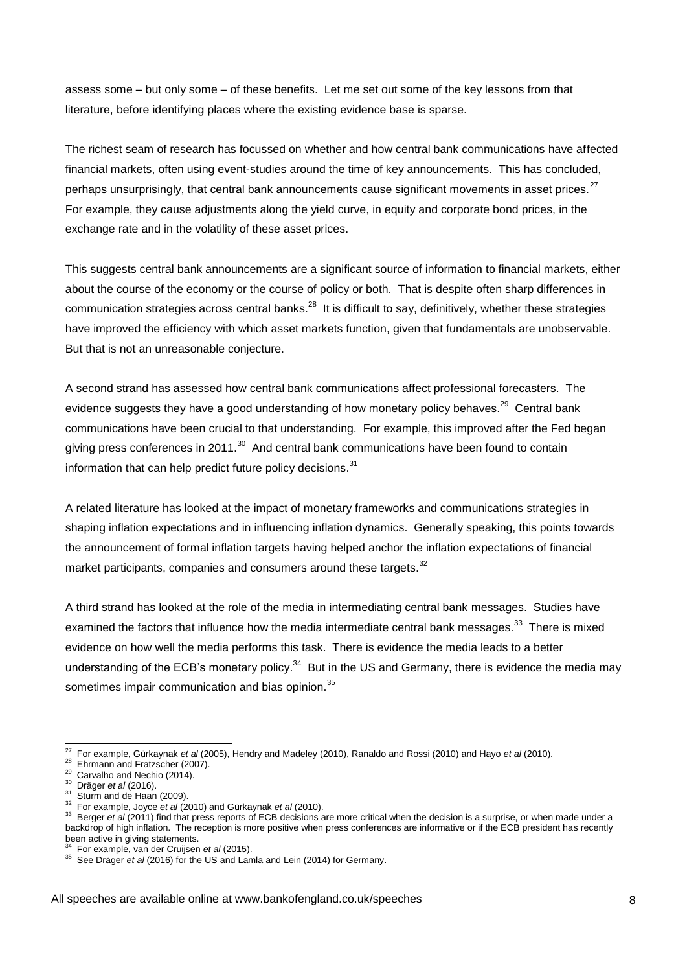assess some – but only some – of these benefits. Let me set out some of the key lessons from that literature, before identifying places where the existing evidence base is sparse.

The richest seam of research has focussed on whether and how central bank communications have affected financial markets, often using event-studies around the time of key announcements. This has concluded, perhaps unsurprisingly, that central bank announcements cause significant movements in asset prices.<sup>27</sup> For example, they cause adjustments along the yield curve, in equity and corporate bond prices, in the exchange rate and in the volatility of these asset prices.

This suggests central bank announcements are a significant source of information to financial markets, either about the course of the economy or the course of policy or both. That is despite often sharp differences in communication strategies across central banks. $^{28}$  It is difficult to say, definitively, whether these strategies have improved the efficiency with which asset markets function, given that fundamentals are unobservable. But that is not an unreasonable conjecture.

A second strand has assessed how central bank communications affect professional forecasters. The evidence suggests they have a good understanding of how monetary policy behaves.<sup>29</sup> Central bank communications have been crucial to that understanding. For example, this improved after the Fed began giving press conferences in 2011.<sup>30</sup> And central bank communications have been found to contain information that can help predict future policy decisions.<sup>31</sup>

A related literature has looked at the impact of monetary frameworks and communications strategies in shaping inflation expectations and in influencing inflation dynamics. Generally speaking, this points towards the announcement of formal inflation targets having helped anchor the inflation expectations of financial market participants, companies and consumers around these targets. $32$ 

A third strand has looked at the role of the media in intermediating central bank messages. Studies have examined the factors that influence how the media intermediate central bank messages.<sup>33</sup> There is mixed evidence on how well the media performs this task. There is evidence the media leads to a better understanding of the ECB's monetary policy.<sup>34</sup> But in the US and Germany, there is evidence the media may sometimes impair communication and bias opinion.<sup>35</sup>

<sup>-</sup>27 For example, Gürkaynak *et al* (2005), Hendry and Madeley (2010), Ranaldo and Rossi (2010) and Hayo *et al* (2010).

<sup>&</sup>lt;sup>28</sup> Ehrmann and Fratzscher (2007).

 $29$  Carvalho and Nechio (2014).

<sup>30</sup> Dräger *et al* (2016).

<sup>&</sup>lt;sup>31</sup> Sturm and de Haan (2009).

<sup>32</sup> For example, Joyce *et al* (2010) and Gürkaynak *et al* (2010).

<sup>&</sup>lt;sup>33</sup> Berger *et al* (2011) find that press reports of ECB decisions are more critical when the decision is a surprise, or when made under a backdrop of high inflation. The reception is more positive when press conferences are informative or if the ECB president has recently been active in giving statements.<br><sup>34</sup> Eer example, van der Cruijsen

For example, van der Cruijsen *et al* (2015).

<sup>35</sup> See Dräger *et al* (2016) for the US and Lamla and Lein (2014) for Germany.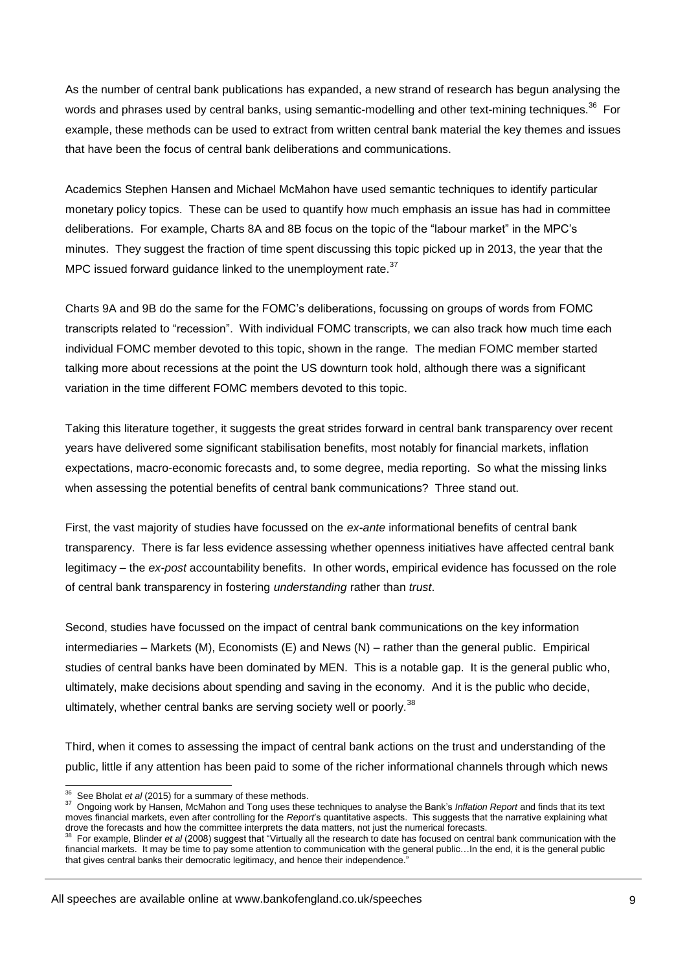As the number of central bank publications has expanded, a new strand of research has begun analysing the words and phrases used by central banks, using semantic-modelling and other text-mining techniques.<sup>36</sup> For example, these methods can be used to extract from written central bank material the key themes and issues that have been the focus of central bank deliberations and communications.

Academics Stephen Hansen and Michael McMahon have used semantic techniques to identify particular monetary policy topics. These can be used to quantify how much emphasis an issue has had in committee deliberations. For example, Charts 8A and 8B focus on the topic of the "labour market" in the MPC's minutes. They suggest the fraction of time spent discussing this topic picked up in 2013, the year that the MPC issued forward guidance linked to the unemployment rate. $37$ 

Charts 9A and 9B do the same for the FOMC's deliberations, focussing on groups of words from FOMC transcripts related to "recession". With individual FOMC transcripts, we can also track how much time each individual FOMC member devoted to this topic, shown in the range. The median FOMC member started talking more about recessions at the point the US downturn took hold, although there was a significant variation in the time different FOMC members devoted to this topic.

Taking this literature together, it suggests the great strides forward in central bank transparency over recent years have delivered some significant stabilisation benefits, most notably for financial markets, inflation expectations, macro-economic forecasts and, to some degree, media reporting. So what the missing links when assessing the potential benefits of central bank communications? Three stand out.

First, the vast majority of studies have focussed on the *ex-ante* informational benefits of central bank transparency. There is far less evidence assessing whether openness initiatives have affected central bank legitimacy – the *ex-post* accountability benefits. In other words, empirical evidence has focussed on the role of central bank transparency in fostering *understanding* rather than *trust*.

Second, studies have focussed on the impact of central bank communications on the key information intermediaries – Markets (M), Economists (E) and News (N) – rather than the general public. Empirical studies of central banks have been dominated by MEN. This is a notable gap. It is the general public who, ultimately, make decisions about spending and saving in the economy. And it is the public who decide, ultimately, whether central banks are serving society well or poorly.<sup>38</sup>

Third, when it comes to assessing the impact of central bank actions on the trust and understanding of the public, little if any attention has been paid to some of the richer informational channels through which news

All speeches are available online at www.bankofengland.co.uk/speeches

 36 See Bholat *et al* (2015) for a summary of these methods.

<sup>37</sup> Ongoing work by Hansen, McMahon and Tong uses these techniques to analyse the Bank's *Inflation Report* and finds that its text moves financial markets, even after controlling for the *Report*'s quantitative aspects. This suggests that the narrative explaining what drove the forecasts and how the committee interprets the data matters, not just the numerical forecasts.<br><sup>38</sup> Eet example, Blinder at el (2008) suggest that "Virtually all the recepts to data has focused an earth

For example, Blinder *et al* (2008) suggest that "Virtually all the research to date has focused on central bank communication with the financial markets. It may be time to pay some attention to communication with the general public...In the end, it is the general public that gives central banks their democratic legitimacy, and hence their independence."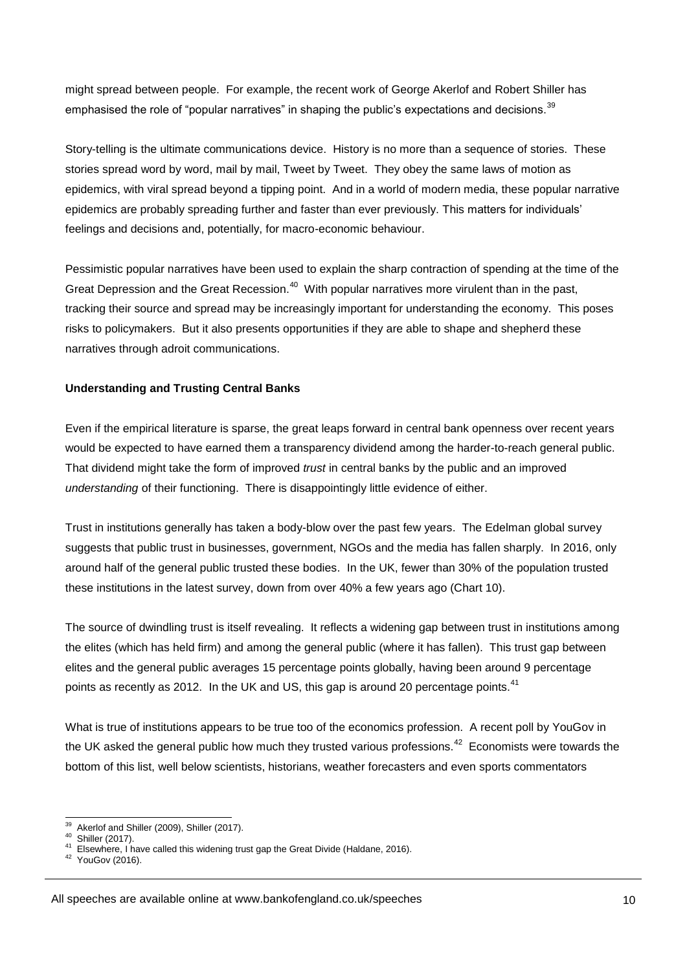might spread between people. For example, the recent work of George Akerlof and Robert Shiller has emphasised the role of "popular narratives" in shaping the public's expectations and decisions.  $39$ 

Story-telling is the ultimate communications device. History is no more than a sequence of stories. These stories spread word by word, mail by mail, Tweet by Tweet. They obey the same laws of motion as epidemics, with viral spread beyond a tipping point. And in a world of modern media, these popular narrative epidemics are probably spreading further and faster than ever previously. This matters for individuals' feelings and decisions and, potentially, for macro-economic behaviour.

Pessimistic popular narratives have been used to explain the sharp contraction of spending at the time of the Great Depression and the Great Recession.<sup>40</sup> With popular narratives more virulent than in the past, tracking their source and spread may be increasingly important for understanding the economy. This poses risks to policymakers. But it also presents opportunities if they are able to shape and shepherd these narratives through adroit communications.

#### **Understanding and Trusting Central Banks**

Even if the empirical literature is sparse, the great leaps forward in central bank openness over recent years would be expected to have earned them a transparency dividend among the harder-to-reach general public. That dividend might take the form of improved *trust* in central banks by the public and an improved *understanding* of their functioning. There is disappointingly little evidence of either.

Trust in institutions generally has taken a body-blow over the past few years. The Edelman global survey suggests that public trust in businesses, government, NGOs and the media has fallen sharply. In 2016, only around half of the general public trusted these bodies. In the UK, fewer than 30% of the population trusted these institutions in the latest survey, down from over 40% a few years ago (Chart 10).

The source of dwindling trust is itself revealing. It reflects a widening gap between trust in institutions among the elites (which has held firm) and among the general public (where it has fallen). This trust gap between elites and the general public averages 15 percentage points globally, having been around 9 percentage points as recently as 2012. In the UK and US, this gap is around 20 percentage points.<sup>41</sup>

What is true of institutions appears to be true too of the economics profession. A recent poll by YouGov in the UK asked the general public how much they trusted various professions.<sup>42</sup> Economists were towards the bottom of this list, well below scientists, historians, weather forecasters and even sports commentators

 $\frac{1}{39}$  Akerlof and Shiller (2009), Shiller (2017). 40

Shiller (2017).

<sup>41</sup> Elsewhere, I have called this widening trust gap the Great Divide (Haldane, 2016).

<sup>&</sup>lt;sup>42</sup> YouGov (2016).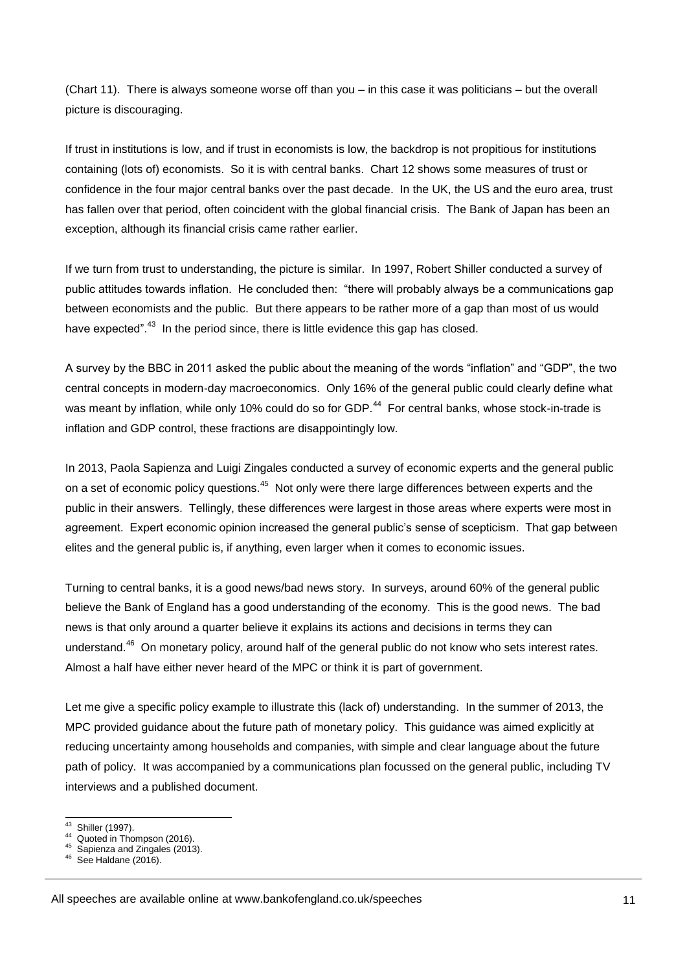(Chart 11). There is always someone worse off than you – in this case it was politicians – but the overall picture is discouraging.

If trust in institutions is low, and if trust in economists is low, the backdrop is not propitious for institutions containing (lots of) economists. So it is with central banks. Chart 12 shows some measures of trust or confidence in the four major central banks over the past decade. In the UK, the US and the euro area, trust has fallen over that period, often coincident with the global financial crisis. The Bank of Japan has been an exception, although its financial crisis came rather earlier.

If we turn from trust to understanding, the picture is similar. In 1997, Robert Shiller conducted a survey of public attitudes towards inflation. He concluded then: "there will probably always be a communications gap between economists and the public. But there appears to be rather more of a gap than most of us would have expected".<sup>43</sup> In the period since, there is little evidence this gap has closed.

A survey by the BBC in 2011 asked the public about the meaning of the words "inflation" and "GDP", the two central concepts in modern-day macroeconomics. Only 16% of the general public could clearly define what was meant by inflation, while only 10% could do so for GDP.<sup>44</sup> For central banks, whose stock-in-trade is inflation and GDP control, these fractions are disappointingly low.

In 2013, Paola Sapienza and Luigi Zingales conducted a survey of economic experts and the general public on a set of economic policy questions.<sup>45</sup> Not only were there large differences between experts and the public in their answers. Tellingly, these differences were largest in those areas where experts were most in agreement. Expert economic opinion increased the general public's sense of scepticism. That gap between elites and the general public is, if anything, even larger when it comes to economic issues.

Turning to central banks, it is a good news/bad news story. In surveys, around 60% of the general public believe the Bank of England has a good understanding of the economy. This is the good news. The bad news is that only around a quarter believe it explains its actions and decisions in terms they can understand.<sup>46</sup> On monetary policy, around half of the general public do not know who sets interest rates. Almost a half have either never heard of the MPC or think it is part of government.

Let me give a specific policy example to illustrate this (lack of) understanding. In the summer of 2013, the MPC provided guidance about the future path of monetary policy. This guidance was aimed explicitly at reducing uncertainty among households and companies, with simple and clear language about the future path of policy. It was accompanied by a communications plan focussed on the general public, including TV interviews and a published document.

 $\frac{1}{43}$ Shiller (1997).

<sup>44</sup> Quoted in Thompson (2016).

<sup>&</sup>lt;sup>45</sup> Sapienza and Zingales (2013).

See Haldane (2016).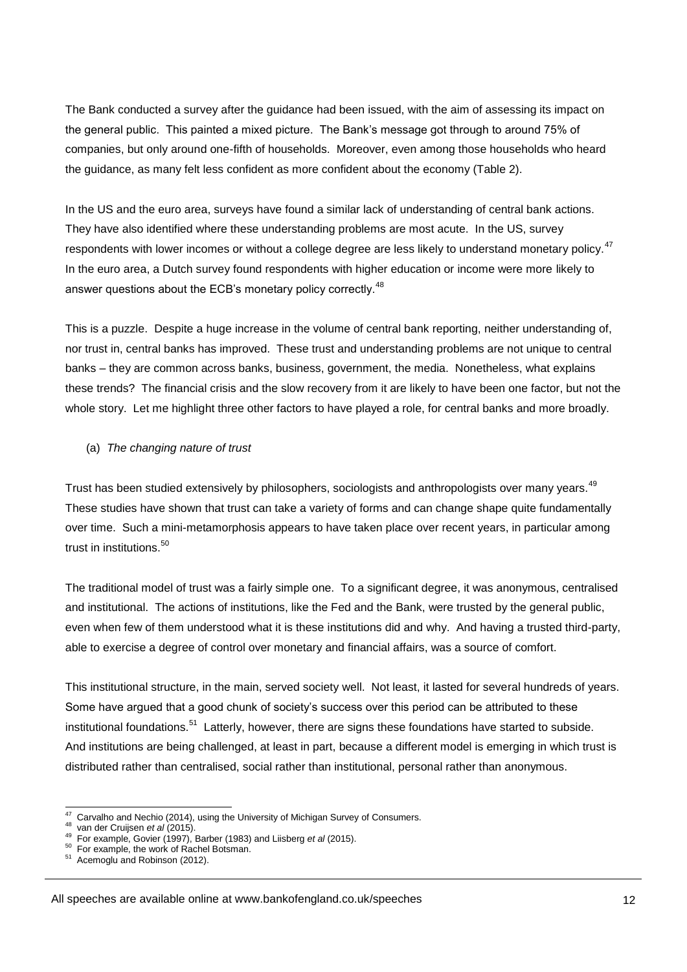The Bank conducted a survey after the guidance had been issued, with the aim of assessing its impact on the general public. This painted a mixed picture. The Bank's message got through to around 75% of companies, but only around one-fifth of households. Moreover, even among those households who heard the guidance, as many felt less confident as more confident about the economy (Table 2).

In the US and the euro area, surveys have found a similar lack of understanding of central bank actions. They have also identified where these understanding problems are most acute. In the US, survey respondents with lower incomes or without a college degree are less likely to understand monetary policy.<sup>47</sup> In the euro area, a Dutch survey found respondents with higher education or income were more likely to answer questions about the ECB's monetary policy correctly.<sup>48</sup>

This is a puzzle. Despite a huge increase in the volume of central bank reporting, neither understanding of, nor trust in, central banks has improved. These trust and understanding problems are not unique to central banks – they are common across banks, business, government, the media. Nonetheless, what explains these trends? The financial crisis and the slow recovery from it are likely to have been one factor, but not the whole story. Let me highlight three other factors to have played a role, for central banks and more broadly.

#### (a) *The changing nature of trust*

Trust has been studied extensively by philosophers, sociologists and anthropologists over many years.<sup>49</sup> These studies have shown that trust can take a variety of forms and can change shape quite fundamentally over time. Such a mini-metamorphosis appears to have taken place over recent years, in particular among trust in institutions.<sup>50</sup>

The traditional model of trust was a fairly simple one. To a significant degree, it was anonymous, centralised and institutional. The actions of institutions, like the Fed and the Bank, were trusted by the general public, even when few of them understood what it is these institutions did and why. And having a trusted third-party, able to exercise a degree of control over monetary and financial affairs, was a source of comfort.

This institutional structure, in the main, served society well. Not least, it lasted for several hundreds of years. Some have argued that a good chunk of society's success over this period can be attributed to these institutional foundations.<sup>51</sup> Latterly, however, there are signs these foundations have started to subside. And institutions are being challenged, at least in part, because a different model is emerging in which trust is distributed rather than centralised, social rather than institutional, personal rather than anonymous.

<sup>-</sup><sup>47</sup> Carvalho and Nechio (2014), using the University of Michigan Survey of Consumers.

<sup>48</sup> van der Cruijsen *et al* (2015).<br><sup>49</sup> For example, Govier (1997), Barber (1983) and Liisberg *et al* (2015).

<sup>&</sup>lt;sup>50</sup> For example, the work of Rachel Botsman.

<sup>51</sup> Acemoglu and Robinson (2012).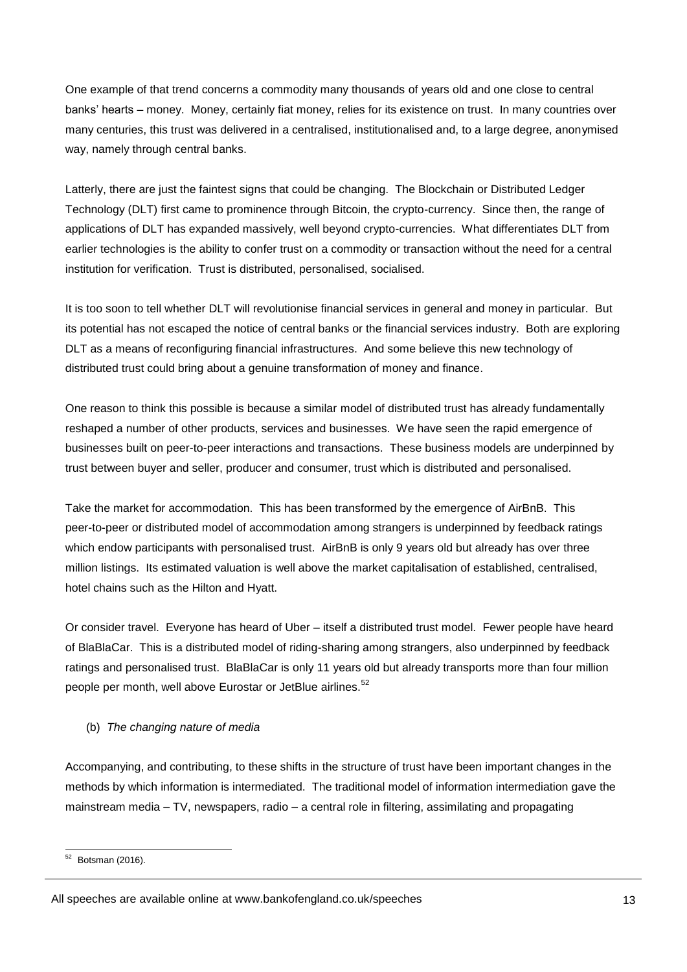One example of that trend concerns a commodity many thousands of years old and one close to central banks' hearts – money. Money, certainly fiat money, relies for its existence on trust. In many countries over many centuries, this trust was delivered in a centralised, institutionalised and, to a large degree, anonymised way, namely through central banks.

Latterly, there are just the faintest signs that could be changing. The Blockchain or Distributed Ledger Technology (DLT) first came to prominence through Bitcoin, the crypto-currency. Since then, the range of applications of DLT has expanded massively, well beyond crypto-currencies. What differentiates DLT from earlier technologies is the ability to confer trust on a commodity or transaction without the need for a central institution for verification. Trust is distributed, personalised, socialised.

It is too soon to tell whether DLT will revolutionise financial services in general and money in particular. But its potential has not escaped the notice of central banks or the financial services industry. Both are exploring DLT as a means of reconfiguring financial infrastructures. And some believe this new technology of distributed trust could bring about a genuine transformation of money and finance.

One reason to think this possible is because a similar model of distributed trust has already fundamentally reshaped a number of other products, services and businesses. We have seen the rapid emergence of businesses built on peer-to-peer interactions and transactions. These business models are underpinned by trust between buyer and seller, producer and consumer, trust which is distributed and personalised.

Take the market for accommodation. This has been transformed by the emergence of AirBnB. This peer-to-peer or distributed model of accommodation among strangers is underpinned by feedback ratings which endow participants with personalised trust. AirBnB is only 9 years old but already has over three million listings. Its estimated valuation is well above the market capitalisation of established, centralised, hotel chains such as the Hilton and Hyatt.

Or consider travel. Everyone has heard of Uber – itself a distributed trust model. Fewer people have heard of BlaBlaCar. This is a distributed model of riding-sharing among strangers, also underpinned by feedback ratings and personalised trust. BlaBlaCar is only 11 years old but already transports more than four million people per month, well above Eurostar or JetBlue airlines.<sup>52</sup>

#### (b) *The changing nature of media*

Accompanying, and contributing, to these shifts in the structure of trust have been important changes in the methods by which information is intermediated. The traditional model of information intermediation gave the mainstream media – TV, newspapers, radio – a central role in filtering, assimilating and propagating

<sup>-</sup> $52$  Botsman (2016).

All speeches are available online at www.bankofengland.co.uk/speeches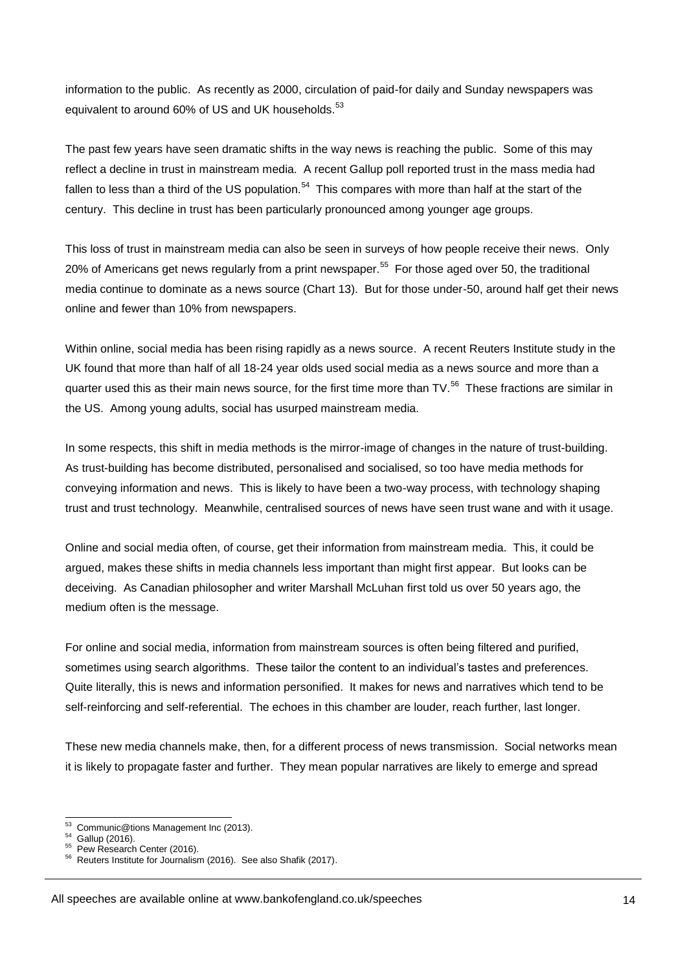information to the public. As recently as 2000, circulation of paid-for daily and Sunday newspapers was equivalent to around 60% of US and UK households.<sup>53</sup>

The past few years have seen dramatic shifts in the way news is reaching the public. Some of this may reflect a decline in trust in mainstream media. A recent Gallup poll reported trust in the mass media had fallen to less than a third of the US population.<sup>54</sup> This compares with more than half at the start of the century. This decline in trust has been particularly pronounced among younger age groups.

This loss of trust in mainstream media can also be seen in surveys of how people receive their news. Only 20% of Americans get news regularly from a print newspaper.<sup>55</sup> For those aged over 50, the traditional media continue to dominate as a news source (Chart 13). But for those under-50, around half get their news online and fewer than 10% from newspapers.

Within online, social media has been rising rapidly as a news source. A recent Reuters Institute study in the UK found that more than half of all 18-24 year olds used social media as a news source and more than a quarter used this as their main news source, for the first time more than TV.<sup>56</sup> These fractions are similar in the US. Among young adults, social has usurped mainstream media.

In some respects, this shift in media methods is the mirror-image of changes in the nature of trust-building. As trust-building has become distributed, personalised and socialised, so too have media methods for conveying information and news. This is likely to have been a two-way process, with technology shaping trust and trust technology. Meanwhile, centralised sources of news have seen trust wane and with it usage.

Online and social media often, of course, get their information from mainstream media. This, it could be argued, makes these shifts in media channels less important than might first appear. But looks can be deceiving. As Canadian philosopher and writer Marshall McLuhan first told us over 50 years ago, the medium often is the message.

For online and social media, information from mainstream sources is often being filtered and purified, sometimes using search algorithms. These tailor the content to an individual's tastes and preferences. Quite literally, this is news and information personified. It makes for news and narratives which tend to be self-reinforcing and self-referential. The echoes in this chamber are louder, reach further, last longer.

These new media channels make, then, for a different process of news transmission. Social networks mean it is likely to propagate faster and further. They mean popular narratives are likely to emerge and spread

 $\frac{1}{53}$ Communic@tions Management Inc (2013).

<sup>54</sup> Gallup (2016).

 $55$  Pew Research Center (2016).

Reuters Institute for Journalism (2016). See also Shafik (2017).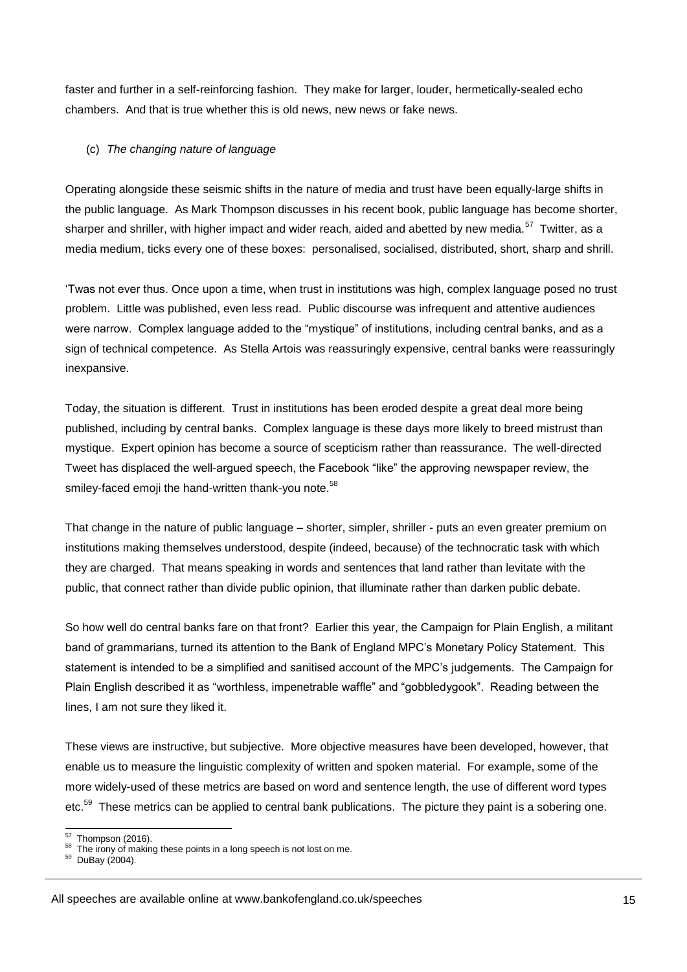faster and further in a self-reinforcing fashion. They make for larger, louder, hermetically-sealed echo chambers. And that is true whether this is old news, new news or fake news.

#### (c) *The changing nature of language*

Operating alongside these seismic shifts in the nature of media and trust have been equally-large shifts in the public language. As Mark Thompson discusses in his recent book, public language has become shorter, sharper and shriller, with higher impact and wider reach, aided and abetted by new media.<sup>57</sup> Twitter, as a media medium, ticks every one of these boxes: personalised, socialised, distributed, short, sharp and shrill.

'Twas not ever thus. Once upon a time, when trust in institutions was high, complex language posed no trust problem. Little was published, even less read. Public discourse was infrequent and attentive audiences were narrow. Complex language added to the "mystique" of institutions, including central banks, and as a sign of technical competence. As Stella Artois was reassuringly expensive, central banks were reassuringly inexpansive.

Today, the situation is different. Trust in institutions has been eroded despite a great deal more being published, including by central banks. Complex language is these days more likely to breed mistrust than mystique. Expert opinion has become a source of scepticism rather than reassurance. The well-directed Tweet has displaced the well-argued speech, the Facebook "like" the approving newspaper review, the smiley-faced emoji the hand-written thank-you note.<sup>58</sup>

That change in the nature of public language – shorter, simpler, shriller - puts an even greater premium on institutions making themselves understood, despite (indeed, because) of the technocratic task with which they are charged. That means speaking in words and sentences that land rather than levitate with the public, that connect rather than divide public opinion, that illuminate rather than darken public debate.

So how well do central banks fare on that front? Earlier this year, the Campaign for Plain English, a militant band of grammarians, turned its attention to the Bank of England MPC's Monetary Policy Statement. This statement is intended to be a simplified and sanitised account of the MPC's judgements. The Campaign for Plain English described it as "worthless, impenetrable waffle" and "gobbledygook". Reading between the lines, I am not sure they liked it.

These views are instructive, but subjective. More objective measures have been developed, however, that enable us to measure the linguistic complexity of written and spoken material. For example, some of the more widely-used of these metrics are based on word and sentence length, the use of different word types etc.<sup>59</sup> These metrics can be applied to central bank publications. The picture they paint is a sobering one.

 $\frac{1}{57}$ Thompson (2016).

<sup>&</sup>lt;sup>58</sup> The irony of making these points in a long speech is not lost on me. 59

DuBay (2004).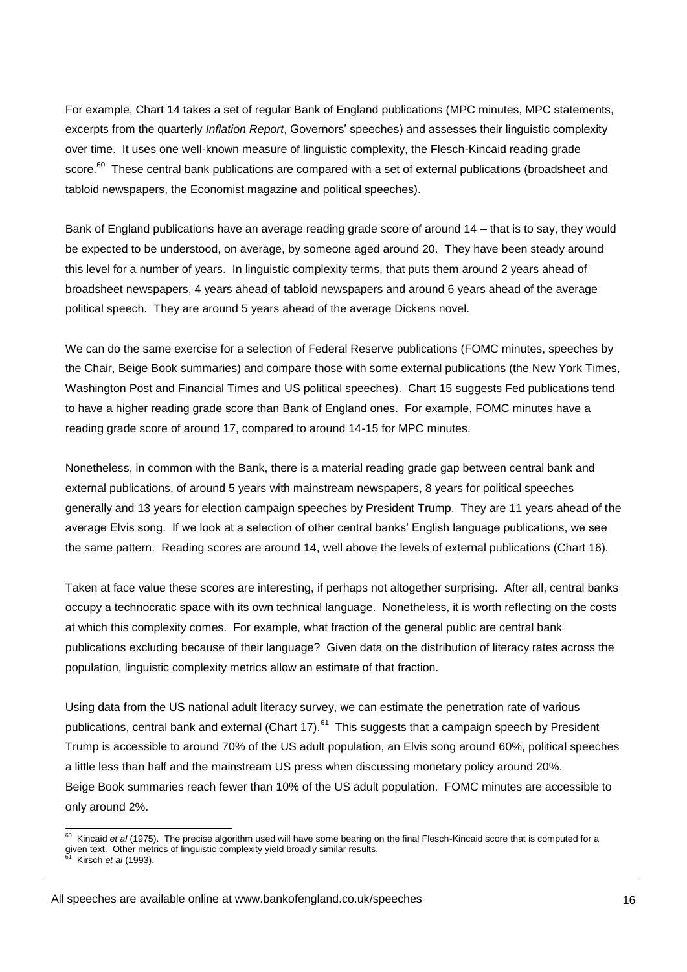For example, Chart 14 takes a set of regular Bank of England publications (MPC minutes, MPC statements, excerpts from the quarterly *Inflation Report*, Governors' speeches) and assesses their linguistic complexity over time. It uses one well-known measure of linguistic complexity, the Flesch-Kincaid reading grade score.<sup>60</sup> These central bank publications are compared with a set of external publications (broadsheet and tabloid newspapers, the Economist magazine and political speeches).

Bank of England publications have an average reading grade score of around 14 – that is to say, they would be expected to be understood, on average, by someone aged around 20. They have been steady around this level for a number of years. In linguistic complexity terms, that puts them around 2 years ahead of broadsheet newspapers, 4 years ahead of tabloid newspapers and around 6 years ahead of the average political speech. They are around 5 years ahead of the average Dickens novel.

We can do the same exercise for a selection of Federal Reserve publications (FOMC minutes, speeches by the Chair, Beige Book summaries) and compare those with some external publications (the New York Times, Washington Post and Financial Times and US political speeches). Chart 15 suggests Fed publications tend to have a higher reading grade score than Bank of England ones. For example, FOMC minutes have a reading grade score of around 17, compared to around 14-15 for MPC minutes.

Nonetheless, in common with the Bank, there is a material reading grade gap between central bank and external publications, of around 5 years with mainstream newspapers, 8 years for political speeches generally and 13 years for election campaign speeches by President Trump. They are 11 years ahead of the average Elvis song. If we look at a selection of other central banks' English language publications, we see the same pattern. Reading scores are around 14, well above the levels of external publications (Chart 16).

Taken at face value these scores are interesting, if perhaps not altogether surprising. After all, central banks occupy a technocratic space with its own technical language. Nonetheless, it is worth reflecting on the costs at which this complexity comes. For example, what fraction of the general public are central bank publications excluding because of their language? Given data on the distribution of literacy rates across the population, linguistic complexity metrics allow an estimate of that fraction.

Using data from the US national adult literacy survey, we can estimate the penetration rate of various publications, central bank and external (Chart 17).<sup>61</sup> This suggests that a campaign speech by President Trump is accessible to around 70% of the US adult population, an Elvis song around 60%, political speeches a little less than half and the mainstream US press when discussing monetary policy around 20%. Beige Book summaries reach fewer than 10% of the US adult population. FOMC minutes are accessible to only around 2%.

-

<sup>60</sup> Kincaid *et al* (1975). The precise algorithm used will have some bearing on the final Flesch-Kincaid score that is computed for a given text. Other metrics of linguistic complexity yield broadly similar results.<br><sup>61</sup> Kisseb at al (1993)

Kirsch *et al* (1993).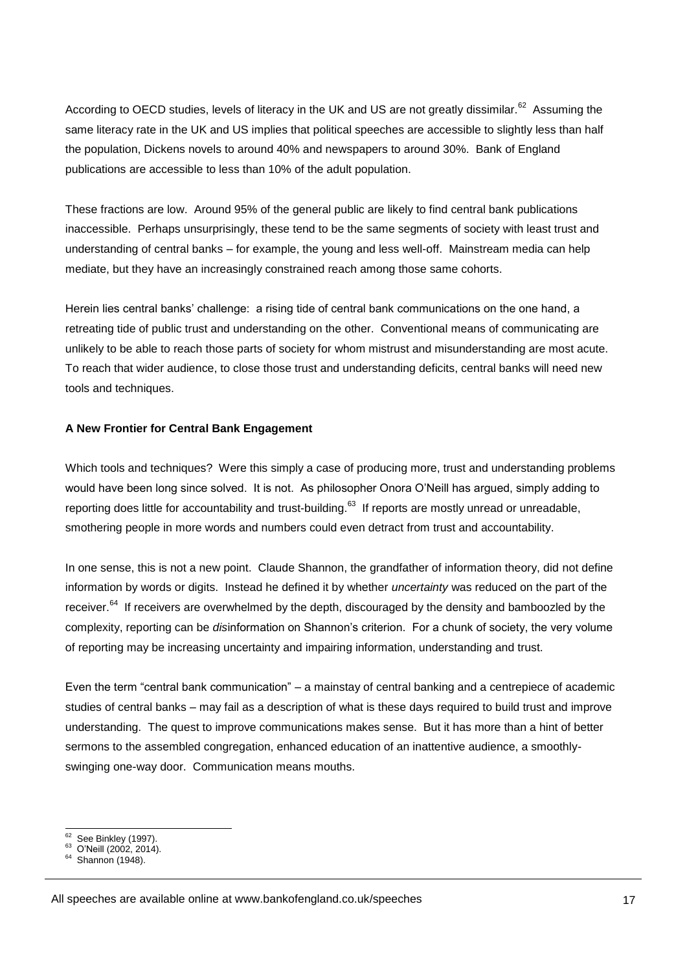According to OECD studies, levels of literacy in the UK and US are not greatly dissimilar.<sup>62</sup> Assuming the same literacy rate in the UK and US implies that political speeches are accessible to slightly less than half the population, Dickens novels to around 40% and newspapers to around 30%. Bank of England publications are accessible to less than 10% of the adult population.

These fractions are low. Around 95% of the general public are likely to find central bank publications inaccessible. Perhaps unsurprisingly, these tend to be the same segments of society with least trust and understanding of central banks – for example, the young and less well-off. Mainstream media can help mediate, but they have an increasingly constrained reach among those same cohorts.

Herein lies central banks' challenge: a rising tide of central bank communications on the one hand, a retreating tide of public trust and understanding on the other. Conventional means of communicating are unlikely to be able to reach those parts of society for whom mistrust and misunderstanding are most acute. To reach that wider audience, to close those trust and understanding deficits, central banks will need new tools and techniques.

#### **A New Frontier for Central Bank Engagement**

Which tools and techniques? Were this simply a case of producing more, trust and understanding problems would have been long since solved. It is not. As philosopher Onora O'Neill has argued, simply adding to reporting does little for accountability and trust-building.<sup>63</sup> If reports are mostly unread or unreadable, smothering people in more words and numbers could even detract from trust and accountability.

In one sense, this is not a new point. Claude Shannon, the grandfather of information theory, did not define information by words or digits. Instead he defined it by whether *uncertainty* was reduced on the part of the receiver.<sup>64</sup> If receivers are overwhelmed by the depth, discouraged by the density and bamboozled by the complexity, reporting can be *dis*information on Shannon's criterion. For a chunk of society, the very volume of reporting may be increasing uncertainty and impairing information, understanding and trust.

Even the term "central bank communication" – a mainstay of central banking and a centrepiece of academic studies of central banks – may fail as a description of what is these days required to build trust and improve understanding. The quest to improve communications makes sense. But it has more than a hint of better sermons to the assembled congregation, enhanced education of an inattentive audience, a smoothlyswinging one-way door. Communication means mouths.

 $rac{1}{62}$ See Binkley (1997).

 $^{63}$  O'Neill (2002, 2014).

Shannon (1948).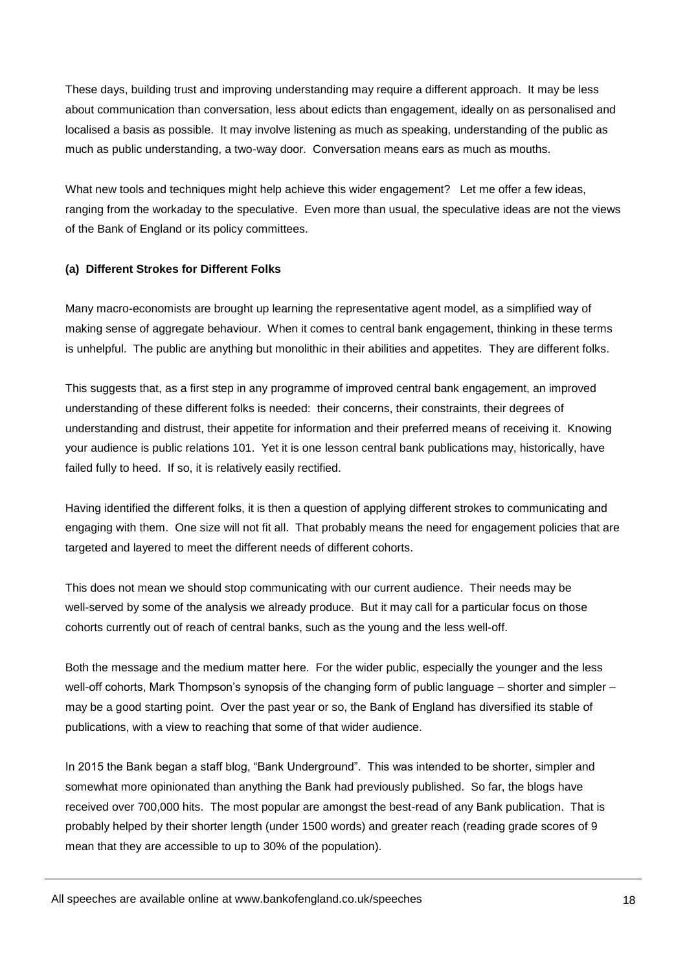These days, building trust and improving understanding may require a different approach. It may be less about communication than conversation, less about edicts than engagement, ideally on as personalised and localised a basis as possible. It may involve listening as much as speaking, understanding of the public as much as public understanding, a two-way door. Conversation means ears as much as mouths.

What new tools and techniques might help achieve this wider engagement? Let me offer a few ideas, ranging from the workaday to the speculative. Even more than usual, the speculative ideas are not the views of the Bank of England or its policy committees.

#### **(a) Different Strokes for Different Folks**

Many macro-economists are brought up learning the representative agent model, as a simplified way of making sense of aggregate behaviour. When it comes to central bank engagement, thinking in these terms is unhelpful. The public are anything but monolithic in their abilities and appetites. They are different folks.

This suggests that, as a first step in any programme of improved central bank engagement, an improved understanding of these different folks is needed: their concerns, their constraints, their degrees of understanding and distrust, their appetite for information and their preferred means of receiving it. Knowing your audience is public relations 101. Yet it is one lesson central bank publications may, historically, have failed fully to heed. If so, it is relatively easily rectified.

Having identified the different folks, it is then a question of applying different strokes to communicating and engaging with them. One size will not fit all. That probably means the need for engagement policies that are targeted and layered to meet the different needs of different cohorts.

This does not mean we should stop communicating with our current audience. Their needs may be well-served by some of the analysis we already produce. But it may call for a particular focus on those cohorts currently out of reach of central banks, such as the young and the less well-off.

Both the message and the medium matter here. For the wider public, especially the younger and the less well-off cohorts, Mark Thompson's synopsis of the changing form of public language – shorter and simpler – may be a good starting point. Over the past year or so, the Bank of England has diversified its stable of publications, with a view to reaching that some of that wider audience.

In 2015 the Bank began a staff blog, "Bank Underground". This was intended to be shorter, simpler and somewhat more opinionated than anything the Bank had previously published. So far, the blogs have received over 700,000 hits. The most popular are amongst the best-read of any Bank publication. That is probably helped by their shorter length (under 1500 words) and greater reach (reading grade scores of 9 mean that they are accessible to up to 30% of the population).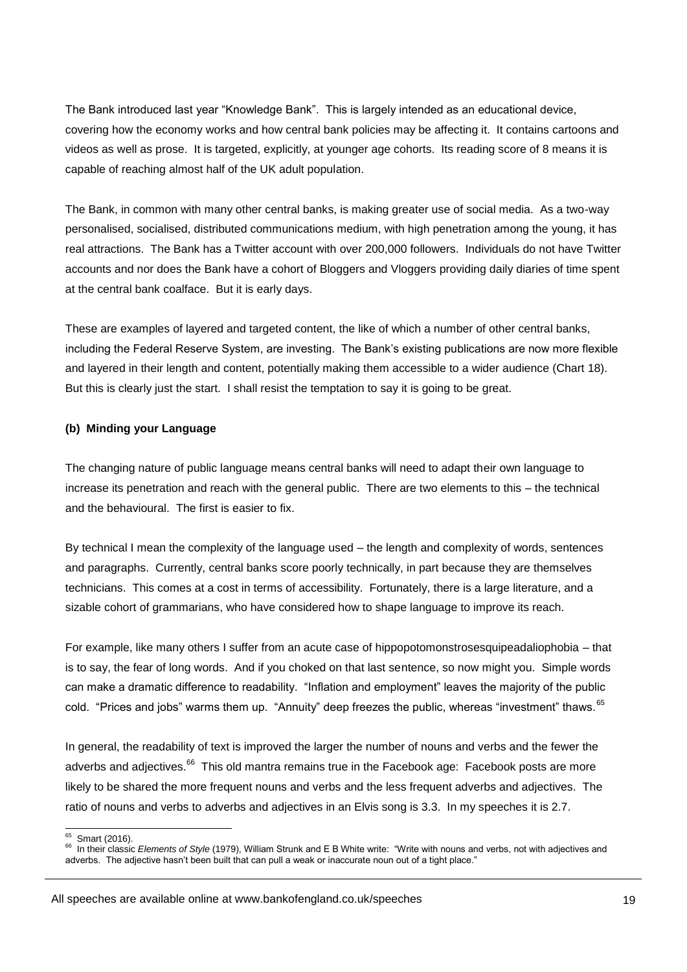The Bank introduced last year "Knowledge Bank". This is largely intended as an educational device, covering how the economy works and how central bank policies may be affecting it. It contains cartoons and videos as well as prose. It is targeted, explicitly, at younger age cohorts. Its reading score of 8 means it is capable of reaching almost half of the UK adult population.

The Bank, in common with many other central banks, is making greater use of social media. As a two-way personalised, socialised, distributed communications medium, with high penetration among the young, it has real attractions. The Bank has a Twitter account with over 200,000 followers. Individuals do not have Twitter accounts and nor does the Bank have a cohort of Bloggers and Vloggers providing daily diaries of time spent at the central bank coalface. But it is early days.

These are examples of layered and targeted content, the like of which a number of other central banks, including the Federal Reserve System, are investing. The Bank's existing publications are now more flexible and layered in their length and content, potentially making them accessible to a wider audience (Chart 18). But this is clearly just the start. I shall resist the temptation to say it is going to be great.

#### **(b) Minding your Language**

The changing nature of public language means central banks will need to adapt their own language to increase its penetration and reach with the general public. There are two elements to this – the technical and the behavioural. The first is easier to fix.

By technical I mean the complexity of the language used – the length and complexity of words, sentences and paragraphs. Currently, central banks score poorly technically, in part because they are themselves technicians. This comes at a cost in terms of accessibility. Fortunately, there is a large literature, and a sizable cohort of grammarians, who have considered how to shape language to improve its reach.

For example, like many others I suffer from an acute case of hippopotomonstrosesquipeadaliophobia – that is to say, the fear of long words. And if you choked on that last sentence, so now might you. Simple words can make a dramatic difference to readability. "Inflation and employment" leaves the majority of the public cold. "Prices and jobs" warms them up. "Annuity" deep freezes the public, whereas "investment" thaws. 65

In general, the readability of text is improved the larger the number of nouns and verbs and the fewer the adverbs and adjectives.<sup>66</sup> This old mantra remains true in the Facebook age: Facebook posts are more likely to be shared the more frequent nouns and verbs and the less frequent adverbs and adjectives. The ratio of nouns and verbs to adverbs and adjectives in an Elvis song is 3.3. In my speeches it is 2.7.

<sup>-</sup>65 Smart (2016).

<sup>&</sup>lt;sup>66</sup> In their classic *Elements of Style* (1979), William Strunk and E B White write: "Write with nouns and verbs, not with adjectives and adverbs. The adjective hasn't been built that can pull a weak or inaccurate noun out of a tight place."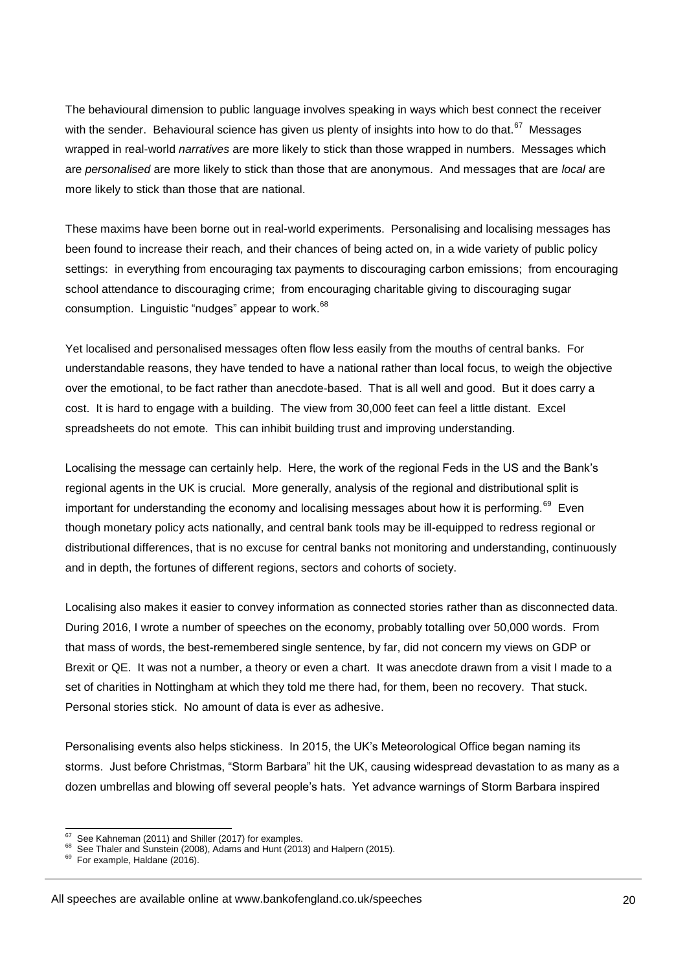The behavioural dimension to public language involves speaking in ways which best connect the receiver with the sender. Behavioural science has given us plenty of insights into how to do that.<sup>67</sup> Messages wrapped in real-world *narratives* are more likely to stick than those wrapped in numbers. Messages which are *personalised* are more likely to stick than those that are anonymous. And messages that are *local* are more likely to stick than those that are national.

These maxims have been borne out in real-world experiments. Personalising and localising messages has been found to increase their reach, and their chances of being acted on, in a wide variety of public policy settings: in everything from encouraging tax payments to discouraging carbon emissions; from encouraging school attendance to discouraging crime; from encouraging charitable giving to discouraging sugar consumption. Linguistic "nudges" appear to work.<sup>68</sup>

Yet localised and personalised messages often flow less easily from the mouths of central banks. For understandable reasons, they have tended to have a national rather than local focus, to weigh the objective over the emotional, to be fact rather than anecdote-based. That is all well and good. But it does carry a cost. It is hard to engage with a building. The view from 30,000 feet can feel a little distant. Excel spreadsheets do not emote. This can inhibit building trust and improving understanding.

Localising the message can certainly help. Here, the work of the regional Feds in the US and the Bank's regional agents in the UK is crucial. More generally, analysis of the regional and distributional split is important for understanding the economy and localising messages about how it is performing.<sup>69</sup> Even though monetary policy acts nationally, and central bank tools may be ill-equipped to redress regional or distributional differences, that is no excuse for central banks not monitoring and understanding, continuously and in depth, the fortunes of different regions, sectors and cohorts of society.

Localising also makes it easier to convey information as connected stories rather than as disconnected data. During 2016, I wrote a number of speeches on the economy, probably totalling over 50,000 words. From that mass of words, the best-remembered single sentence, by far, did not concern my views on GDP or Brexit or QE. It was not a number, a theory or even a chart. It was anecdote drawn from a visit I made to a set of charities in Nottingham at which they told me there had, for them, been no recovery. That stuck. Personal stories stick. No amount of data is ever as adhesive.

Personalising events also helps stickiness. In 2015, the UK's Meteorological Office began naming its storms. Just before Christmas, "Storm Barbara" hit the UK, causing widespread devastation to as many as a dozen umbrellas and blowing off several people's hats. Yet advance warnings of Storm Barbara inspired

 $rac{1}{67}$ See Kahneman (2011) and Shiller (2017) for examples.

<sup>&</sup>lt;sup>68</sup> See Thaler and Sunstein (2008), Adams and Hunt (2013) and Halpern (2015).

<sup>69</sup> For example, Haldane (2016).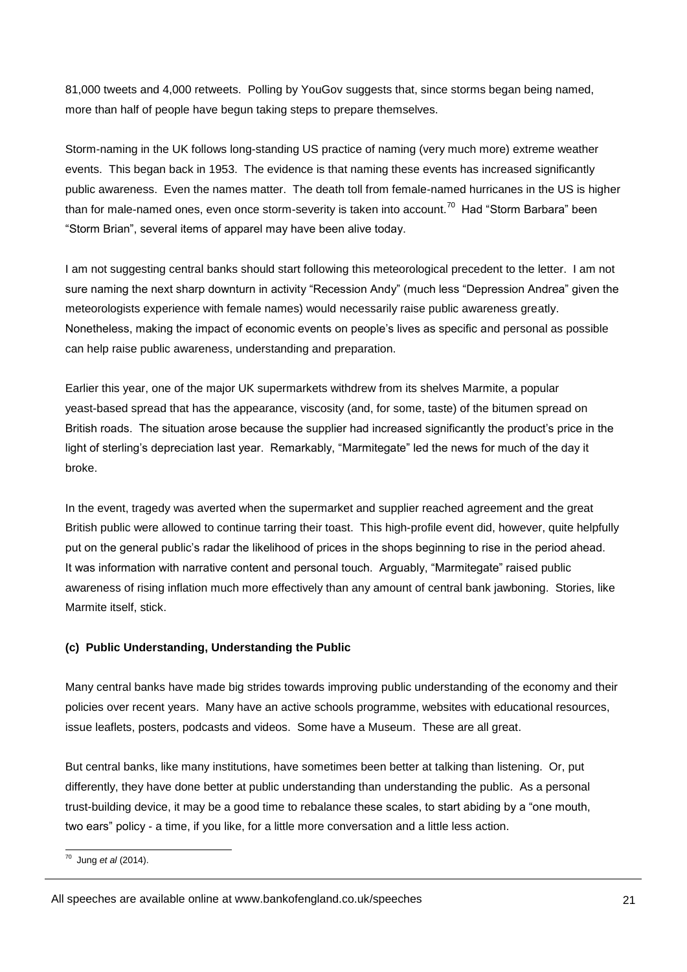81,000 tweets and 4,000 retweets. Polling by YouGov suggests that, since storms began being named, more than half of people have begun taking steps to prepare themselves.

Storm-naming in the UK follows long-standing US practice of naming (very much more) extreme weather events. This began back in 1953. The evidence is that naming these events has increased significantly public awareness. Even the names matter. The death toll from female-named hurricanes in the US is higher than for male-named ones, even once storm-severity is taken into account.<sup>70</sup> Had "Storm Barbara" been "Storm Brian", several items of apparel may have been alive today.

I am not suggesting central banks should start following this meteorological precedent to the letter. I am not sure naming the next sharp downturn in activity "Recession Andy" (much less "Depression Andrea" given the meteorologists experience with female names) would necessarily raise public awareness greatly. Nonetheless, making the impact of economic events on people's lives as specific and personal as possible can help raise public awareness, understanding and preparation.

Earlier this year, one of the major UK supermarkets withdrew from its shelves Marmite, a popular yeast-based spread that has the appearance, viscosity (and, for some, taste) of the bitumen spread on British roads. The situation arose because the supplier had increased significantly the product's price in the light of sterling's depreciation last year. Remarkably, "Marmitegate" led the news for much of the day it broke.

In the event, tragedy was averted when the supermarket and supplier reached agreement and the great British public were allowed to continue tarring their toast. This high-profile event did, however, quite helpfully put on the general public's radar the likelihood of prices in the shops beginning to rise in the period ahead. It was information with narrative content and personal touch. Arguably, "Marmitegate" raised public awareness of rising inflation much more effectively than any amount of central bank jawboning. Stories, like Marmite itself, stick.

#### **(c) Public Understanding, Understanding the Public**

Many central banks have made big strides towards improving public understanding of the economy and their policies over recent years. Many have an active schools programme, websites with educational resources, issue leaflets, posters, podcasts and videos. Some have a Museum. These are all great.

But central banks, like many institutions, have sometimes been better at talking than listening. Or, put differently, they have done better at public understanding than understanding the public. As a personal trust-building device, it may be a good time to rebalance these scales, to start abiding by a "one mouth, two ears" policy - a time, if you like, for a little more conversation and a little less action.

 70 Jung *et al* (2014).

All speeches are available online at www.bankofengland.co.uk/speeches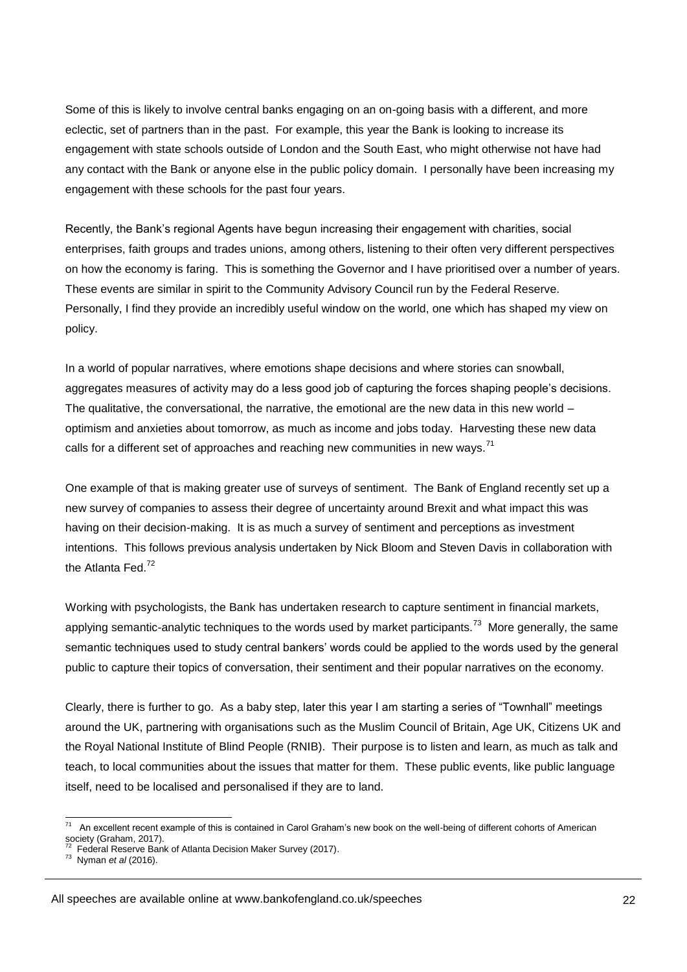Some of this is likely to involve central banks engaging on an on-going basis with a different, and more eclectic, set of partners than in the past. For example, this year the Bank is looking to increase its engagement with state schools outside of London and the South East, who might otherwise not have had any contact with the Bank or anyone else in the public policy domain. I personally have been increasing my engagement with these schools for the past four years.

Recently, the Bank's regional Agents have begun increasing their engagement with charities, social enterprises, faith groups and trades unions, among others, listening to their often very different perspectives on how the economy is faring. This is something the Governor and I have prioritised over a number of years. These events are similar in spirit to the Community Advisory Council run by the Federal Reserve. Personally, I find they provide an incredibly useful window on the world, one which has shaped my view on policy.

In a world of popular narratives, where emotions shape decisions and where stories can snowball, aggregates measures of activity may do a less good job of capturing the forces shaping people's decisions. The qualitative, the conversational, the narrative, the emotional are the new data in this new world – optimism and anxieties about tomorrow, as much as income and jobs today. Harvesting these new data calls for a different set of approaches and reaching new communities in new ways.<sup>71</sup>

One example of that is making greater use of surveys of sentiment. The Bank of England recently set up a new survey of companies to assess their degree of uncertainty around Brexit and what impact this was having on their decision-making. It is as much a survey of sentiment and perceptions as investment intentions. This follows previous analysis undertaken by Nick Bloom and Steven Davis in collaboration with the Atlanta Fed.<sup>72</sup>

Working with psychologists, the Bank has undertaken research to capture sentiment in financial markets, applying semantic-analytic techniques to the words used by market participants.<sup>73</sup> More generally, the same semantic techniques used to study central bankers' words could be applied to the words used by the general public to capture their topics of conversation, their sentiment and their popular narratives on the economy.

Clearly, there is further to go. As a baby step, later this year I am starting a series of "Townhall" meetings around the UK, partnering with organisations such as the Muslim Council of Britain, Age UK, Citizens UK and the Royal National Institute of Blind People (RNIB). Their purpose is to listen and learn, as much as talk and teach, to local communities about the issues that matter for them. These public events, like public language itself, need to be localised and personalised if they are to land.

1

<sup>71</sup> An excellent recent example of this is contained in Carol Graham's new book on the well-being of different cohorts of American society (Graham, 2017).<br><sup>72</sup> Eederel Besenre Ban

Federal Reserve Bank of Atlanta Decision Maker Survey (2017).

<sup>73</sup> Nyman *et al* (2016).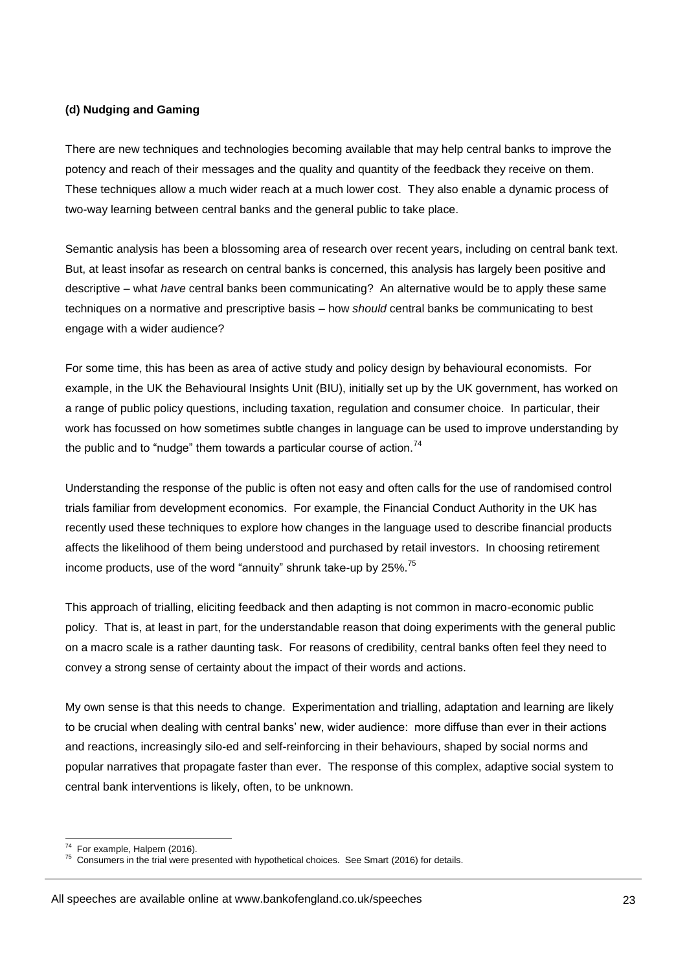#### **(d) Nudging and Gaming**

There are new techniques and technologies becoming available that may help central banks to improve the potency and reach of their messages and the quality and quantity of the feedback they receive on them. These techniques allow a much wider reach at a much lower cost. They also enable a dynamic process of two-way learning between central banks and the general public to take place.

Semantic analysis has been a blossoming area of research over recent years, including on central bank text. But, at least insofar as research on central banks is concerned, this analysis has largely been positive and descriptive – what *have* central banks been communicating? An alternative would be to apply these same techniques on a normative and prescriptive basis – how *should* central banks be communicating to best engage with a wider audience?

For some time, this has been as area of active study and policy design by behavioural economists. For example, in the UK the Behavioural Insights Unit (BIU), initially set up by the UK government, has worked on a range of public policy questions, including taxation, regulation and consumer choice. In particular, their work has focussed on how sometimes subtle changes in language can be used to improve understanding by the public and to "nudge" them towards a particular course of action.<sup>74</sup>

Understanding the response of the public is often not easy and often calls for the use of randomised control trials familiar from development economics. For example, the Financial Conduct Authority in the UK has recently used these techniques to explore how changes in the language used to describe financial products affects the likelihood of them being understood and purchased by retail investors. In choosing retirement income products, use of the word "annuity" shrunk take-up by 25%.<sup>75</sup>

This approach of trialling, eliciting feedback and then adapting is not common in macro-economic public policy. That is, at least in part, for the understandable reason that doing experiments with the general public on a macro scale is a rather daunting task. For reasons of credibility, central banks often feel they need to convey a strong sense of certainty about the impact of their words and actions.

My own sense is that this needs to change. Experimentation and trialling, adaptation and learning are likely to be crucial when dealing with central banks' new, wider audience: more diffuse than ever in their actions and reactions, increasingly silo-ed and self-reinforcing in their behaviours, shaped by social norms and popular narratives that propagate faster than ever. The response of this complex, adaptive social system to central bank interventions is likely, often, to be unknown.

<sup>1</sup> 74 For example, Halpern (2016).

 $75$  Consumers in the trial were presented with hypothetical choices. See Smart (2016) for details.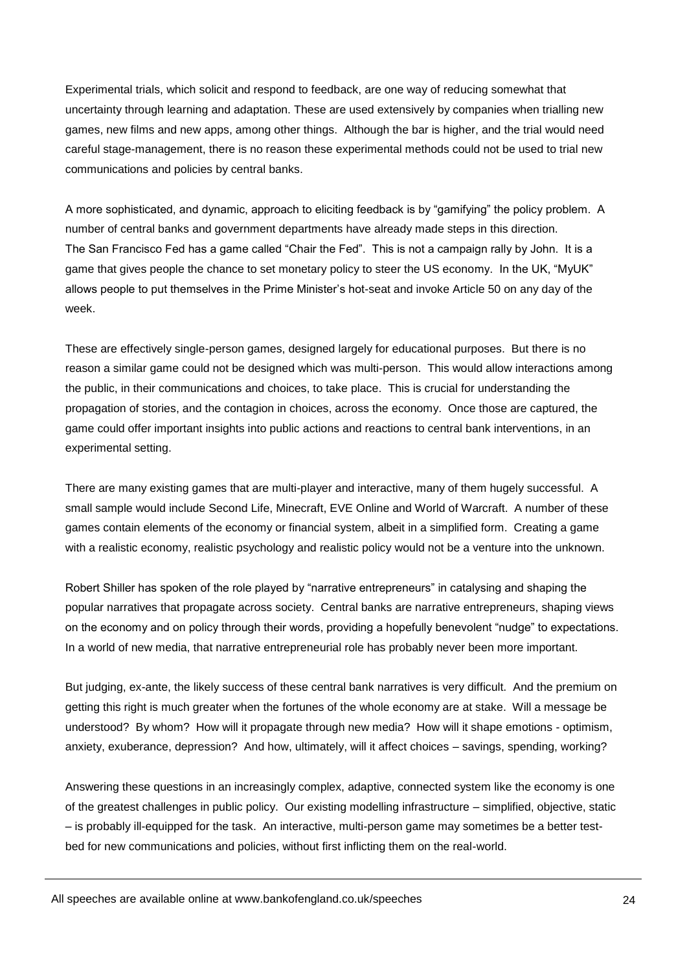Experimental trials, which solicit and respond to feedback, are one way of reducing somewhat that uncertainty through learning and adaptation. These are used extensively by companies when trialling new games, new films and new apps, among other things. Although the bar is higher, and the trial would need careful stage-management, there is no reason these experimental methods could not be used to trial new communications and policies by central banks.

A more sophisticated, and dynamic, approach to eliciting feedback is by "gamifying" the policy problem. A number of central banks and government departments have already made steps in this direction. The San Francisco Fed has a game called "Chair the Fed". This is not a campaign rally by John. It is a game that gives people the chance to set monetary policy to steer the US economy. In the UK, "MyUK" allows people to put themselves in the Prime Minister's hot-seat and invoke Article 50 on any day of the week.

These are effectively single-person games, designed largely for educational purposes. But there is no reason a similar game could not be designed which was multi-person. This would allow interactions among the public, in their communications and choices, to take place. This is crucial for understanding the propagation of stories, and the contagion in choices, across the economy. Once those are captured, the game could offer important insights into public actions and reactions to central bank interventions, in an experimental setting.

There are many existing games that are multi-player and interactive, many of them hugely successful. A small sample would include Second Life, Minecraft, EVE Online and World of Warcraft. A number of these games contain elements of the economy or financial system, albeit in a simplified form. Creating a game with a realistic economy, realistic psychology and realistic policy would not be a venture into the unknown.

Robert Shiller has spoken of the role played by "narrative entrepreneurs" in catalysing and shaping the popular narratives that propagate across society. Central banks are narrative entrepreneurs, shaping views on the economy and on policy through their words, providing a hopefully benevolent "nudge" to expectations. In a world of new media, that narrative entrepreneurial role has probably never been more important.

But judging, ex-ante, the likely success of these central bank narratives is very difficult. And the premium on getting this right is much greater when the fortunes of the whole economy are at stake. Will a message be understood? By whom? How will it propagate through new media? How will it shape emotions - optimism, anxiety, exuberance, depression? And how, ultimately, will it affect choices – savings, spending, working?

Answering these questions in an increasingly complex, adaptive, connected system like the economy is one of the greatest challenges in public policy. Our existing modelling infrastructure – simplified, objective, static – is probably ill-equipped for the task. An interactive, multi-person game may sometimes be a better testbed for new communications and policies, without first inflicting them on the real-world.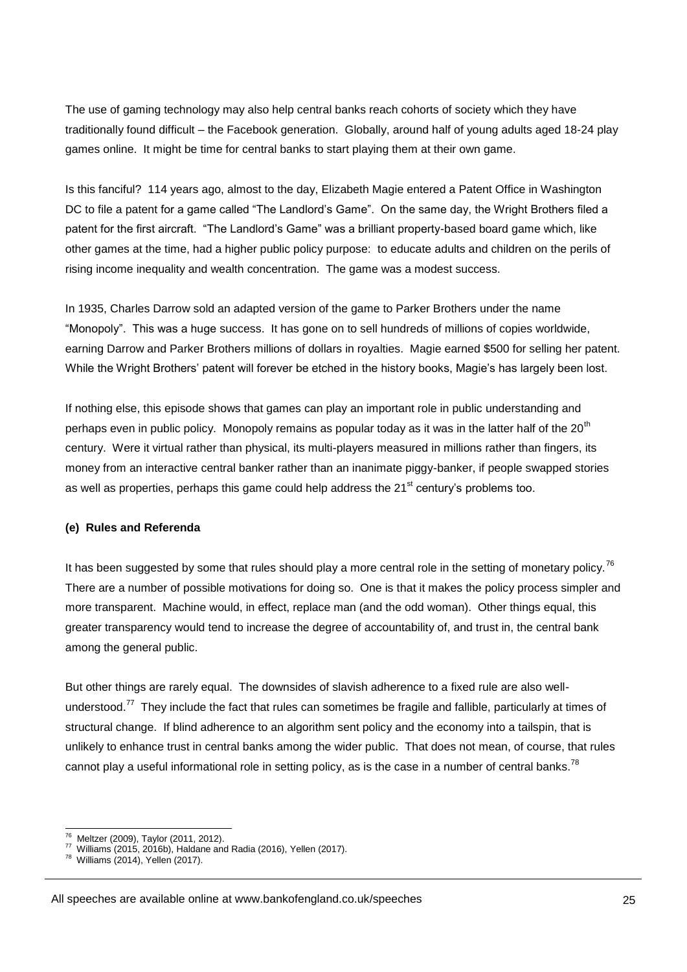The use of gaming technology may also help central banks reach cohorts of society which they have traditionally found difficult – the Facebook generation. Globally, around half of young adults aged 18-24 play games online. It might be time for central banks to start playing them at their own game.

Is this fanciful? 114 years ago, almost to the day, Elizabeth Magie entered a Patent Office in Washington DC to file a patent for a game called "The Landlord's Game". On the same day, the Wright Brothers filed a patent for the first aircraft. "The Landlord's Game" was a brilliant property-based board game which, like other games at the time, had a higher public policy purpose: to educate adults and children on the perils of rising income inequality and wealth concentration. The game was a modest success.

In 1935, Charles Darrow sold an adapted version of the game to Parker Brothers under the name "Monopoly". This was a huge success. It has gone on to sell hundreds of millions of copies worldwide, earning Darrow and Parker Brothers millions of dollars in royalties. Magie earned \$500 for selling her patent. While the Wright Brothers' patent will forever be etched in the history books, Magie's has largely been lost.

If nothing else, this episode shows that games can play an important role in public understanding and perhaps even in public policy. Monopoly remains as popular today as it was in the latter half of the 20<sup>th</sup> century. Were it virtual rather than physical, its multi-players measured in millions rather than fingers, its money from an interactive central banker rather than an inanimate piggy-banker, if people swapped stories as well as properties, perhaps this game could help address the 21<sup>st</sup> century's problems too.

#### **(e) Rules and Referenda**

It has been suggested by some that rules should play a more central role in the setting of monetary policy.<sup>76</sup> There are a number of possible motivations for doing so. One is that it makes the policy process simpler and more transparent. Machine would, in effect, replace man (and the odd woman). Other things equal, this greater transparency would tend to increase the degree of accountability of, and trust in, the central bank among the general public.

But other things are rarely equal. The downsides of slavish adherence to a fixed rule are also wellunderstood.<sup>77</sup> They include the fact that rules can sometimes be fragile and fallible, particularly at times of structural change. If blind adherence to an algorithm sent policy and the economy into a tailspin, that is unlikely to enhance trust in central banks among the wider public. That does not mean, of course, that rules cannot play a useful informational role in setting policy, as is the case in a number of central banks.<sup>78</sup>

 $\frac{1}{76}$ Meltzer (2009), Taylor (2011, 2012).

 $\frac{77}{78}$  Williams (2015, 2016b), Haldane and Radia (2016), Yellen (2017).

Williams (2014), Yellen (2017).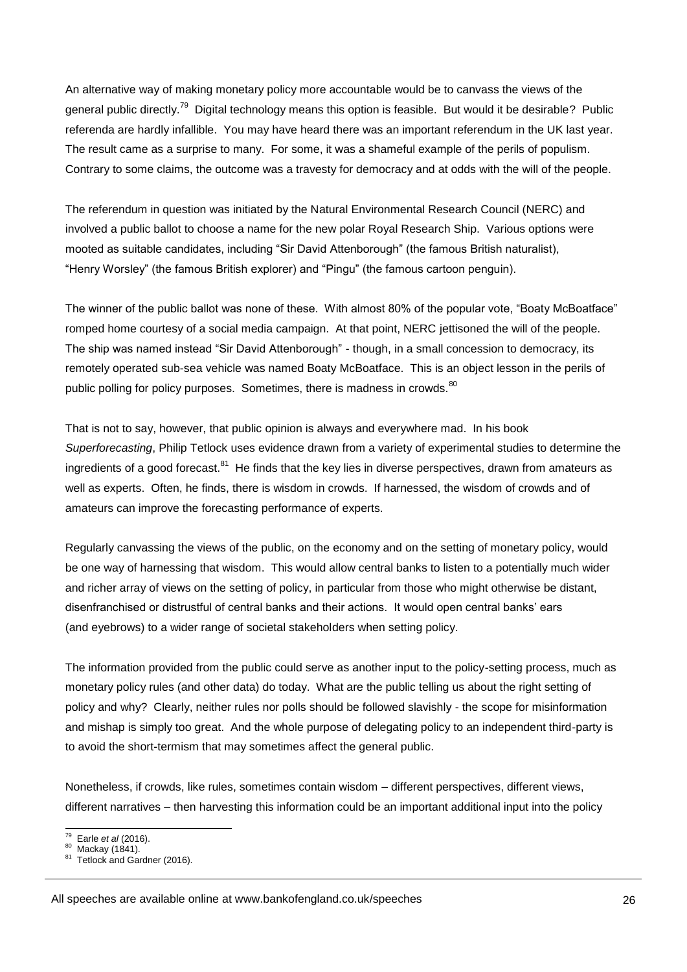An alternative way of making monetary policy more accountable would be to canvass the views of the general public directly.<sup>79</sup> Digital technology means this option is feasible. But would it be desirable? Public referenda are hardly infallible. You may have heard there was an important referendum in the UK last year. The result came as a surprise to many. For some, it was a shameful example of the perils of populism. Contrary to some claims, the outcome was a travesty for democracy and at odds with the will of the people.

The referendum in question was initiated by the Natural Environmental Research Council (NERC) and involved a public ballot to choose a name for the new polar Royal Research Ship. Various options were mooted as suitable candidates, including "Sir David Attenborough" (the famous British naturalist), "Henry Worsley" (the famous British explorer) and "Pingu" (the famous cartoon penguin).

The winner of the public ballot was none of these. With almost 80% of the popular vote, "Boaty McBoatface" romped home courtesy of a social media campaign. At that point, NERC jettisoned the will of the people. The ship was named instead "Sir David Attenborough" - though, in a small concession to democracy, its remotely operated sub-sea vehicle was named Boaty McBoatface. This is an object lesson in the perils of public polling for policy purposes. Sometimes, there is madness in crowds.<sup>80</sup>

That is not to say, however, that public opinion is always and everywhere mad. In his book *Superforecasting*, Philip Tetlock uses evidence drawn from a variety of experimental studies to determine the ingredients of a good forecast.<sup>81</sup> He finds that the key lies in diverse perspectives, drawn from amateurs as well as experts. Often, he finds, there is wisdom in crowds. If harnessed, the wisdom of crowds and of amateurs can improve the forecasting performance of experts.

Regularly canvassing the views of the public, on the economy and on the setting of monetary policy, would be one way of harnessing that wisdom. This would allow central banks to listen to a potentially much wider and richer array of views on the setting of policy, in particular from those who might otherwise be distant, disenfranchised or distrustful of central banks and their actions. It would open central banks' ears (and eyebrows) to a wider range of societal stakeholders when setting policy.

The information provided from the public could serve as another input to the policy-setting process, much as monetary policy rules (and other data) do today. What are the public telling us about the right setting of policy and why? Clearly, neither rules nor polls should be followed slavishly - the scope for misinformation and mishap is simply too great. And the whole purpose of delegating policy to an independent third-party is to avoid the short-termism that may sometimes affect the general public.

Nonetheless, if crowds, like rules, sometimes contain wisdom – different perspectives, different views, different narratives – then harvesting this information could be an important additional input into the policy

All speeches are available online at www.bankofengland.co.uk/speeches

 $\frac{1}{79}$ Earle *et al* (2016).

 $^{80}$  Mackay (1841).

Tetlock and Gardner (2016).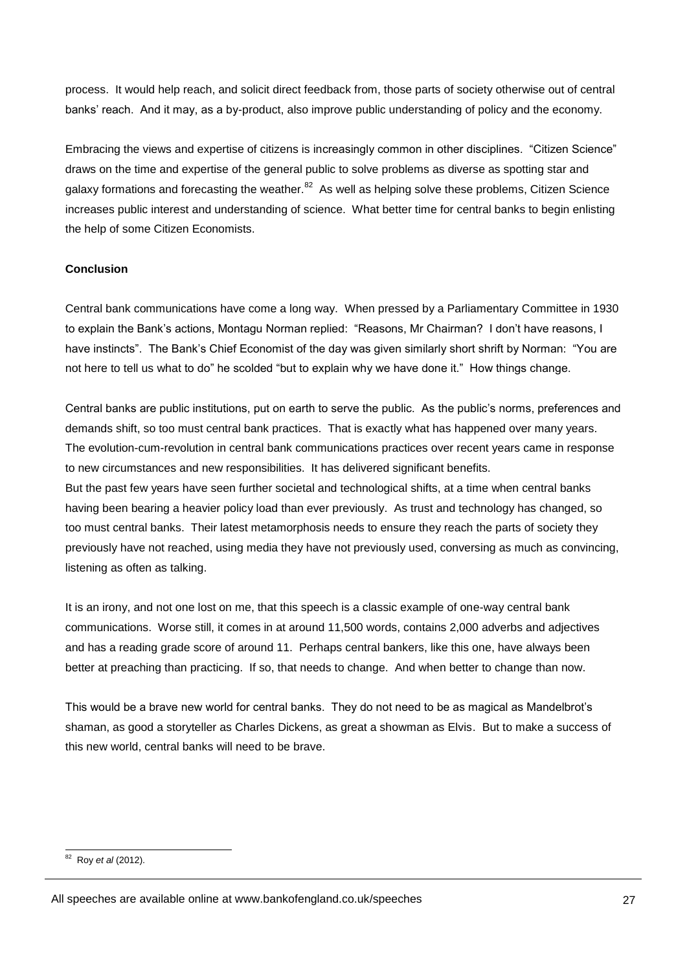process. It would help reach, and solicit direct feedback from, those parts of society otherwise out of central banks' reach. And it may, as a by-product, also improve public understanding of policy and the economy.

Embracing the views and expertise of citizens is increasingly common in other disciplines. "Citizen Science" draws on the time and expertise of the general public to solve problems as diverse as spotting star and galaxy formations and forecasting the weather.<sup>82</sup> As well as helping solve these problems, Citizen Science increases public interest and understanding of science. What better time for central banks to begin enlisting the help of some Citizen Economists.

#### **Conclusion**

Central bank communications have come a long way. When pressed by a Parliamentary Committee in 1930 to explain the Bank's actions, Montagu Norman replied: "Reasons, Mr Chairman? I don't have reasons, I have instincts". The Bank's Chief Economist of the day was given similarly short shrift by Norman: "You are not here to tell us what to do" he scolded "but to explain why we have done it." How things change.

Central banks are public institutions, put on earth to serve the public. As the public's norms, preferences and demands shift, so too must central bank practices. That is exactly what has happened over many years. The evolution-cum-revolution in central bank communications practices over recent years came in response to new circumstances and new responsibilities. It has delivered significant benefits. But the past few years have seen further societal and technological shifts, at a time when central banks having been bearing a heavier policy load than ever previously. As trust and technology has changed, so too must central banks. Their latest metamorphosis needs to ensure they reach the parts of society they previously have not reached, using media they have not previously used, conversing as much as convincing, listening as often as talking.

It is an irony, and not one lost on me, that this speech is a classic example of one-way central bank communications. Worse still, it comes in at around 11,500 words, contains 2,000 adverbs and adjectives and has a reading grade score of around 11. Perhaps central bankers, like this one, have always been better at preaching than practicing. If so, that needs to change. And when better to change than now.

This would be a brave new world for central banks. They do not need to be as magical as Mandelbrot's shaman, as good a storyteller as Charles Dickens, as great a showman as Elvis. But to make a success of this new world, central banks will need to be brave.

 82 Roy *et al* (2012).

All speeches are available online at www.bankofengland.co.uk/speeches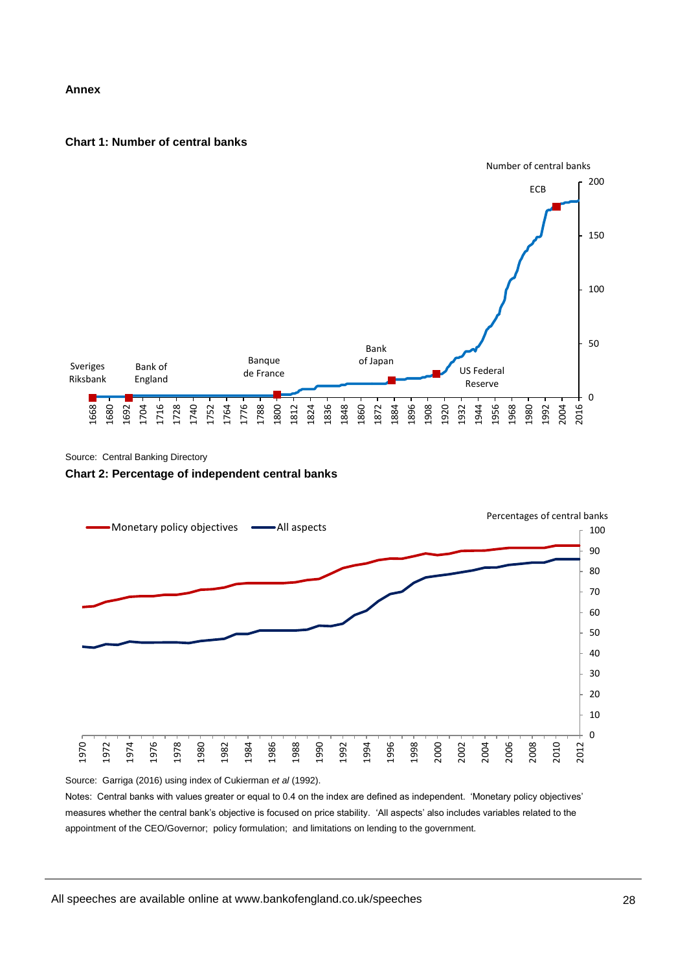#### **Annex**

#### **Chart 1: Number of central banks**



Source: Central Banking Directory

#### **Chart 2: Percentage of independent central banks**



Source: Garriga (2016) using index of Cukierman *et al* (1992).

Notes: Central banks with values greater or equal to 0.4 on the index are defined as independent. 'Monetary policy objectives' measures whether the central bank's objective is focused on price stability. 'All aspects' also includes variables related to the appointment of the CEO/Governor; policy formulation; and limitations on lending to the government.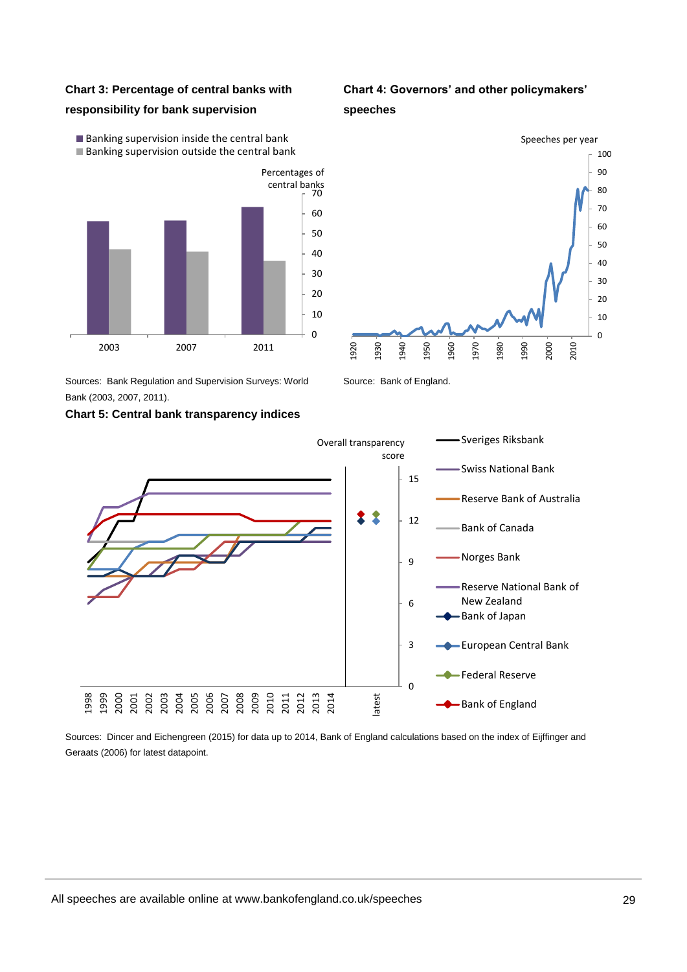### **Chart 3: Percentage of central banks with**

#### **responsibility for bank supervision**

 $\blacksquare$  Banking supervision inside the central bank **Banking supervision outside the central bank** 



Sources: Bank Regulation and Supervision Surveys: World Bank (2003, 2007, 2011).

#### **Chart 5: Central bank transparency indices**

**Chart 4: Governors' and other policymakers'** 





Source: Bank of England.



Sources: Dincer and Eichengreen (2015) for data up to 2014, Bank of England calculations based on the index of Eijffinger and Geraats (2006) for latest datapoint.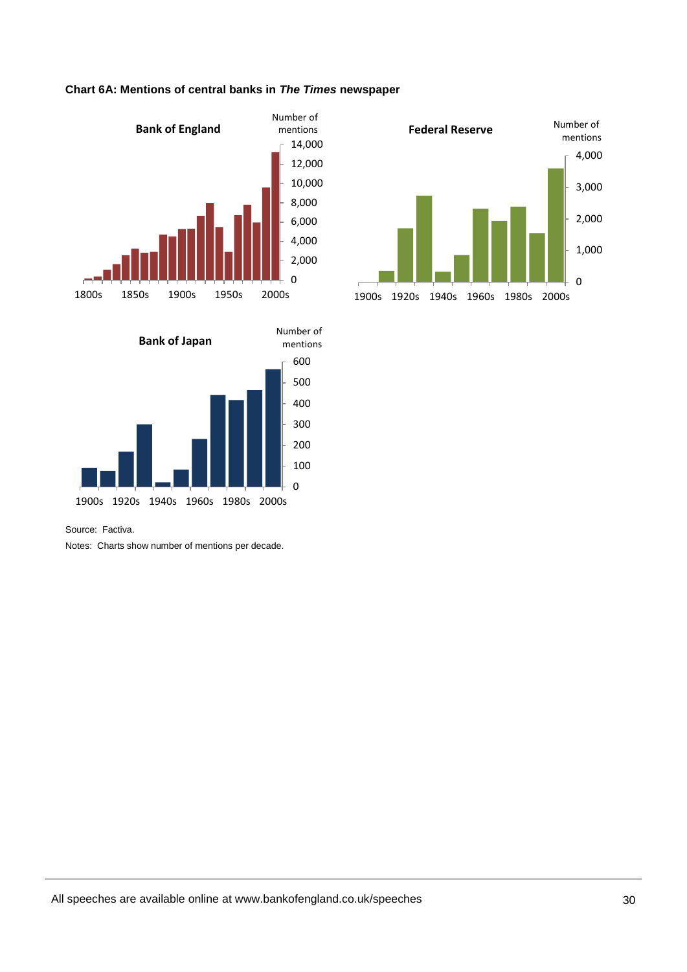

### **Chart 6A: Mentions of central banks in** *The Times* **newspaper**





Source: Factiva.

Notes: Charts show number of mentions per decade.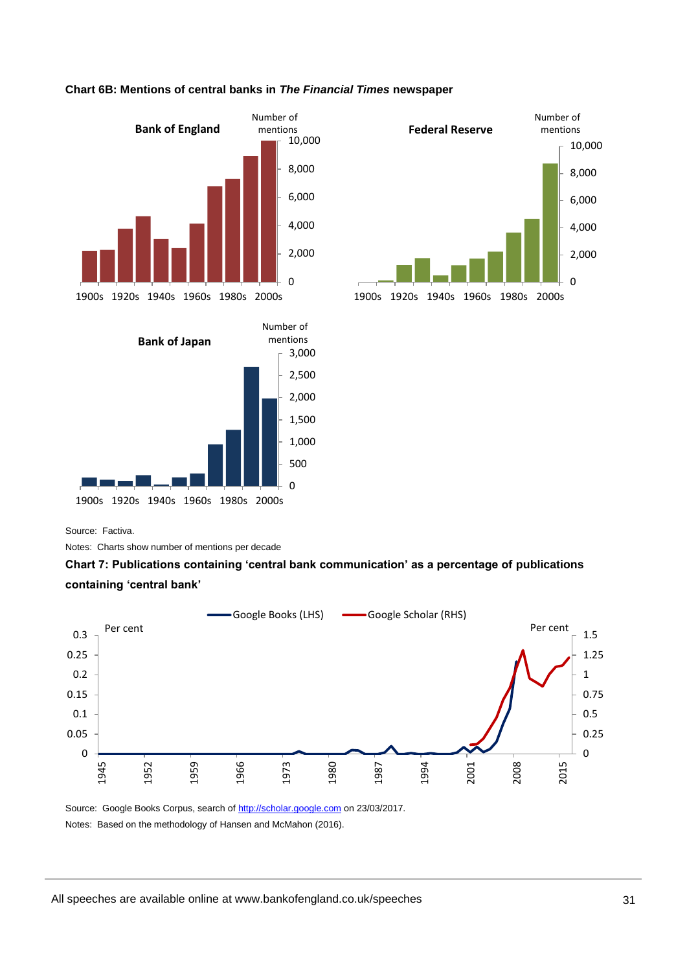

#### **Chart 6B: Mentions of central banks in** *The Financial Times* **newspaper**



 $\Omega$ 500 1,000 1,500 2,000 2,500 1900s 1920s 1940s 1960s 1980s 2000s

Source: Factiva.

Notes: Charts show number of mentions per decade





Source: Google Books Corpus, search o[f http://scholar.google.com](http://scholar.google.com/) on 23/03/2017. Notes: Based on the methodology of Hansen and McMahon (2016).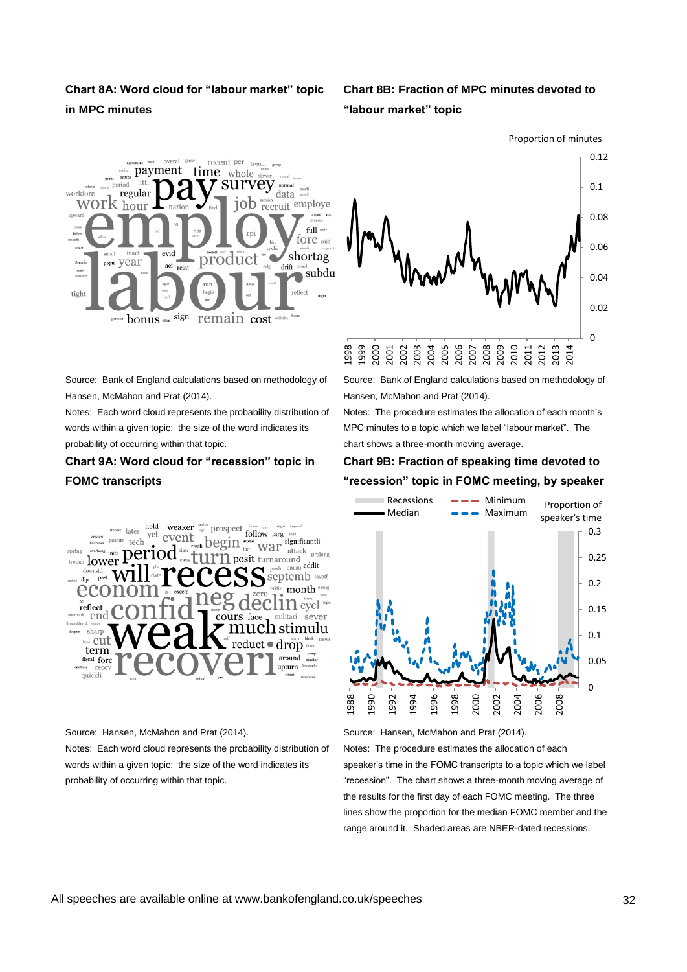# **Chart 8A: Word cloud for "labour market" topic in MPC minutes**

# **Chart 8B: Fraction of MPC minutes devoted to "labour market" topic**





Source: Bank of England calculations based on methodology of Hansen, McMahon and Prat (2014).

Notes: Each word cloud represents the probability distribution of words within a given topic; the size of the word indicates its probability of occurring within that topic.

# **Chart 9A: Word cloud for "recession" topic in FOMC transcripts**



Source: Hansen, McMahon and Prat (2014).

Notes: Each word cloud represents the probability distribution of words within a given topic; the size of the word indicates its probability of occurring within that topic.

Source: Bank of England calculations based on methodology of Hansen, McMahon and Prat (2014).

Notes: The procedure estimates the allocation of each month's MPC minutes to a topic which we label "labour market". The chart shows a three-month moving average.

# **Chart 9B: Fraction of speaking time devoted to "recession" topic in FOMC meeting, by speaker**



Source: Hansen, McMahon and Prat (2014).

Notes: The procedure estimates the allocation of each speaker's time in the FOMC transcripts to a topic which we label "recession". The chart shows a three-month moving average of the results for the first day of each FOMC meeting. The three lines show the proportion for the median FOMC member and the range around it. Shaded areas are NBER-dated recessions.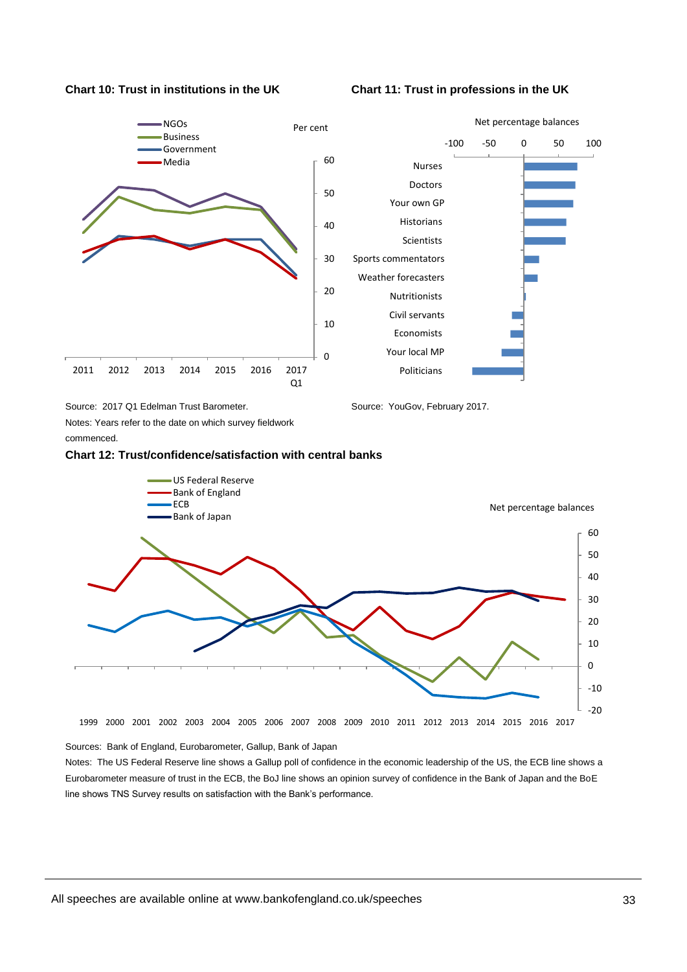**Chart 10: Trust in institutions in the UK Chart 11: Trust in professions in the UK**



Source: 2017 Q1 Edelman Trust Barometer.

Source: YouGov, February 2017.

Notes: Years refer to the date on which survey fieldwork commenced.





#### Sources: Bank of England, Eurobarometer, Gallup, Bank of Japan

Notes: The US Federal Reserve line shows a Gallup poll of confidence in the economic leadership of the US, the ECB line shows a Eurobarometer measure of trust in the ECB, the BoJ line shows an opinion survey of confidence in the Bank of Japan and the BoE line shows TNS Survey results on satisfaction with the Bank's performance.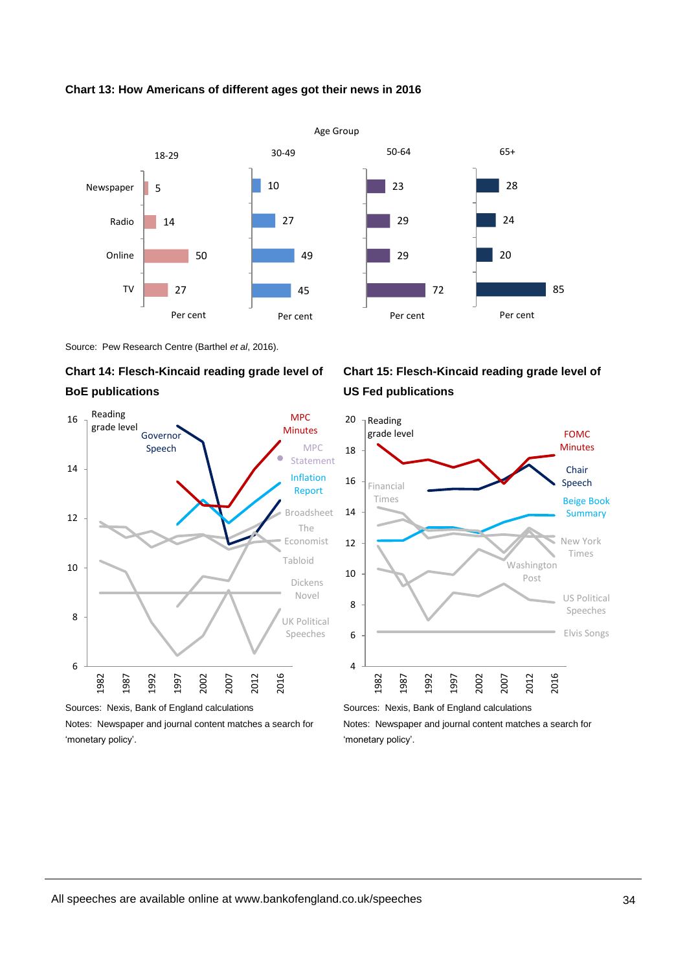

#### **Chart 13: How Americans of different ages got their news in 2016**

Source: Pew Research Centre (Barthel *et al*, 2016).

# **Chart 14: Flesch-Kincaid reading grade level of BoE publications**



Sources: Nexis, Bank of England calculations

Notes: Newspaper and journal content matches a search for 'monetary policy'.

# **Chart 15: Flesch-Kincaid reading grade level of US Fed publications**



Sources: Nexis, Bank of England calculations Notes: Newspaper and journal content matches a search for 'monetary policy'.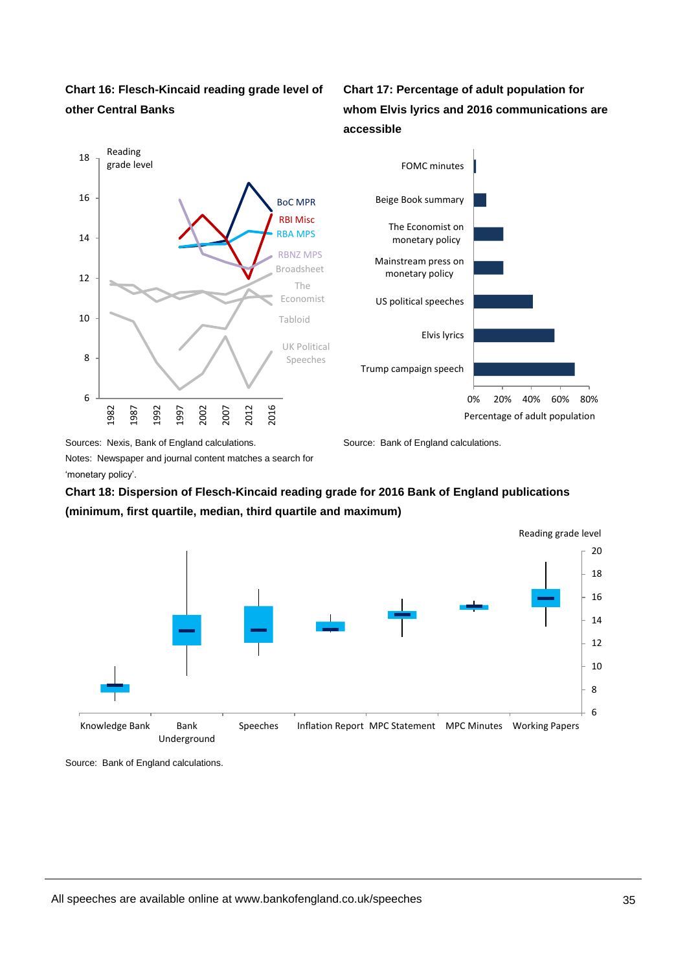

**Chart 17: Percentage of adult population for whom Elvis lyrics and 2016 communications are accessible**





Sources: Nexis, Bank of England calculations.

Source: Bank of England calculations.

Notes: Newspaper and journal content matches a search for 'monetary policy'.

# **Chart 18: Dispersion of Flesch-Kincaid reading grade for 2016 Bank of England publications (minimum, first quartile, median, third quartile and maximum)**



Source: Bank of England calculations.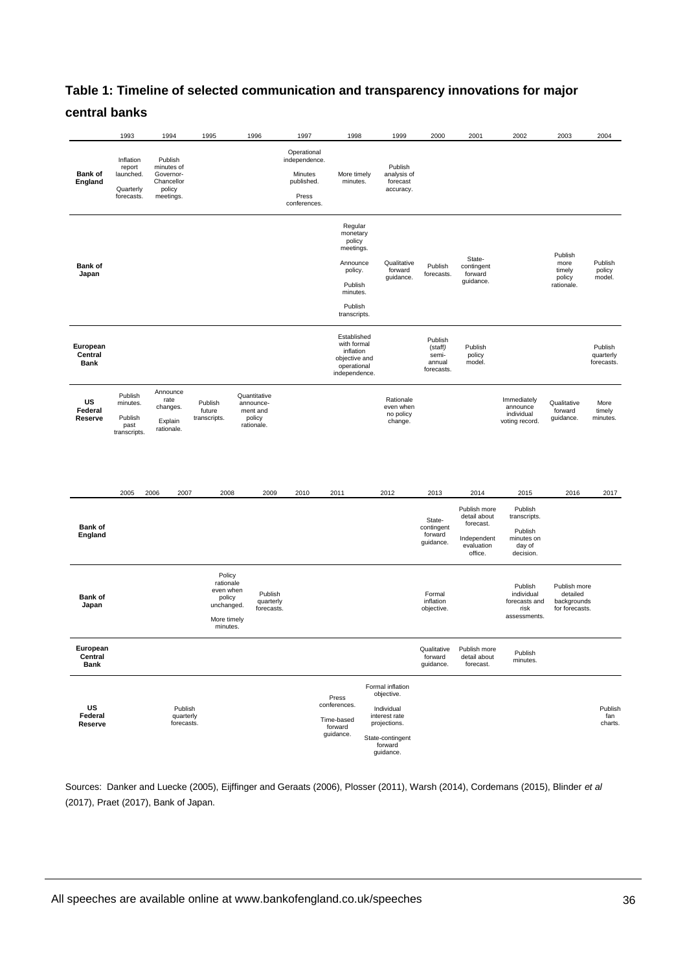# **Table 1: Timeline of selected communication and transparency innovations for major central banks**

|                                    | 1993                                                        | 1994                                                                    | 1995                                                                                | 1996                                                          | 1997                                                                           | 1998                                                                                                                | 1999                                                                                                                      | 2000                                                | 2001                                                                              | 2002                                                                    | 2003                                                      | 2004                               |
|------------------------------------|-------------------------------------------------------------|-------------------------------------------------------------------------|-------------------------------------------------------------------------------------|---------------------------------------------------------------|--------------------------------------------------------------------------------|---------------------------------------------------------------------------------------------------------------------|---------------------------------------------------------------------------------------------------------------------------|-----------------------------------------------------|-----------------------------------------------------------------------------------|-------------------------------------------------------------------------|-----------------------------------------------------------|------------------------------------|
| <b>Bank of</b><br>England          | Inflation<br>report<br>launched.<br>Quarterly<br>forecasts. | Publish<br>minutes of<br>Governor-<br>Chancellor<br>policy<br>meetings. |                                                                                     |                                                               | Operational<br>independence.<br>Minutes<br>published.<br>Press<br>conferences. | More timely<br>minutes.                                                                                             | Publish<br>analysis of<br>forecast<br>accuracy.                                                                           |                                                     |                                                                                   |                                                                         |                                                           |                                    |
| <b>Bank of</b><br>Japan            |                                                             |                                                                         |                                                                                     |                                                               |                                                                                | Regular<br>monetary<br>policy<br>meetings.<br>Announce<br>policy.<br>Publish<br>minutes.<br>Publish<br>transcripts. | Qualitative<br>forward<br>guidance.                                                                                       | Publish<br>forecasts.                               | State-<br>contingent<br>forward<br>guidance.                                      |                                                                         | Publish<br>more<br>timely<br>policy<br>rationale.         | Publish<br>policy<br>model.        |
| European<br>Central<br><b>Bank</b> |                                                             |                                                                         |                                                                                     |                                                               |                                                                                | Established<br>with formal<br>inflation<br>objective and<br>operational<br>independence.                            |                                                                                                                           | Publish<br>(staff)<br>semi-<br>annual<br>forecasts. | Publish<br>policy<br>model.                                                       |                                                                         |                                                           | Publish<br>quarterly<br>forecasts. |
| US<br>Federal<br>Reserve           | Publish<br>minutes.<br>Publish<br>past<br>transcripts.      | Announce<br>rate<br>changes.<br>Explain<br>rationale.                   | Publish<br>future<br>transcripts.                                                   | Quantitative<br>announce-<br>ment and<br>policy<br>rationale. |                                                                                |                                                                                                                     | Rationale<br>even when<br>no policy<br>change.                                                                            |                                                     |                                                                                   | Immediately<br>announce<br>individual<br>voting record.                 | Qualitative<br>forward<br>guidance.                       | More<br>timely<br>minutes.         |
|                                    | 2005                                                        | 2006<br>2007                                                            | 2008                                                                                | 2009                                                          | 2010                                                                           | 2011                                                                                                                | 2012                                                                                                                      | 2013                                                | 2014                                                                              | 2015                                                                    | 2016                                                      | 2017                               |
| <b>Bank of</b><br>England          |                                                             |                                                                         |                                                                                     |                                                               |                                                                                |                                                                                                                     |                                                                                                                           | State-<br>contingent<br>forward<br>guidance.        | Publish more<br>detail about<br>forecast.<br>Independent<br>evaluation<br>office. | Publish<br>transcripts.<br>Publish<br>minutes on<br>day of<br>decision. |                                                           |                                    |
| <b>Bank of</b><br>Japan            |                                                             |                                                                         | Policy<br>rationale<br>even when<br>policy<br>unchanged.<br>More timely<br>minutes. | Publish<br>quarterly<br>forecasts.                            |                                                                                |                                                                                                                     |                                                                                                                           | Formal<br>inflation<br>objective.                   |                                                                                   | Publish<br>individual<br>forecasts and<br>risk<br>assessments.          | Publish more<br>detailed<br>backgrounds<br>for forecasts. |                                    |
| European<br>Central<br><b>Bank</b> |                                                             |                                                                         |                                                                                     |                                                               |                                                                                |                                                                                                                     |                                                                                                                           | Qualitative<br>forward<br>guidance.                 | Publish more<br>detail about<br>forecast.                                         | Publish<br>minutes.                                                     |                                                           |                                    |
| US<br>Federal<br>Reserve           |                                                             | Publish<br>quarterly<br>forecasts.                                      |                                                                                     |                                                               |                                                                                | Press<br>conferences.<br>Time-based<br>forward<br>guidance.                                                         | Formal inflation<br>objective.<br>Individual<br>interest rate<br>projections.<br>State-contingent<br>forward<br>guidance. |                                                     |                                                                                   |                                                                         |                                                           | Publish<br>fan<br>charts.          |

Sources: Danker and Luecke (2005), Eijffinger and Geraats (2006), Plosser (2011), Warsh (2014), Cordemans (2015), Blinder *et al* (2017), Praet (2017), Bank of Japan.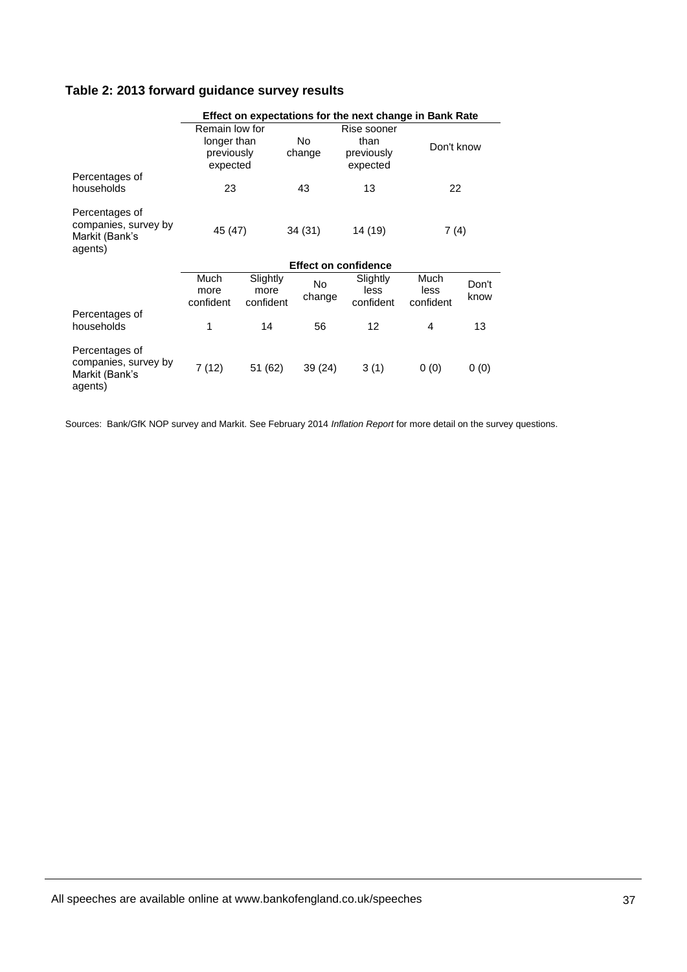# **Table 2: 2013 forward guidance survey results**

|                                                                     | Effect on expectations for the next change in Bank Rate |                               |                     |                                               |                           |               |  |  |  |
|---------------------------------------------------------------------|---------------------------------------------------------|-------------------------------|---------------------|-----------------------------------------------|---------------------------|---------------|--|--|--|
|                                                                     | Remain low for<br>longer than<br>previously<br>expected |                               | No.<br>change       | Rise sooner<br>than<br>previously<br>expected | Don't know                |               |  |  |  |
| Percentages of<br>households                                        | 23                                                      |                               | 43                  | 13                                            | 22                        |               |  |  |  |
| Percentages of<br>companies, survey by<br>Markit (Bank's<br>agents) | 45 (47)                                                 |                               | 34 (31)             | 14 (19)                                       | 7 (4)                     |               |  |  |  |
|                                                                     | <b>Effect on confidence</b>                             |                               |                     |                                               |                           |               |  |  |  |
|                                                                     | Much<br>more<br>confident                               | Slightly<br>more<br>confident | <b>No</b><br>change | Slightly<br>less<br>confident                 | Much<br>less<br>confident | Don't<br>know |  |  |  |
| Percentages of<br>households                                        | 1                                                       | 14                            | 56                  | 12                                            | 4                         | 13            |  |  |  |
| Percentages of<br>companies, survey by<br>Markit (Bank's<br>agents) | 7 (12)                                                  | 51 (62)                       | 39 (24)             | 3(1)                                          | 0(0)                      | 0(0)          |  |  |  |

Sources: Bank/GfK NOP survey and Markit. See February 2014 *Inflation Report* for more detail on the survey questions.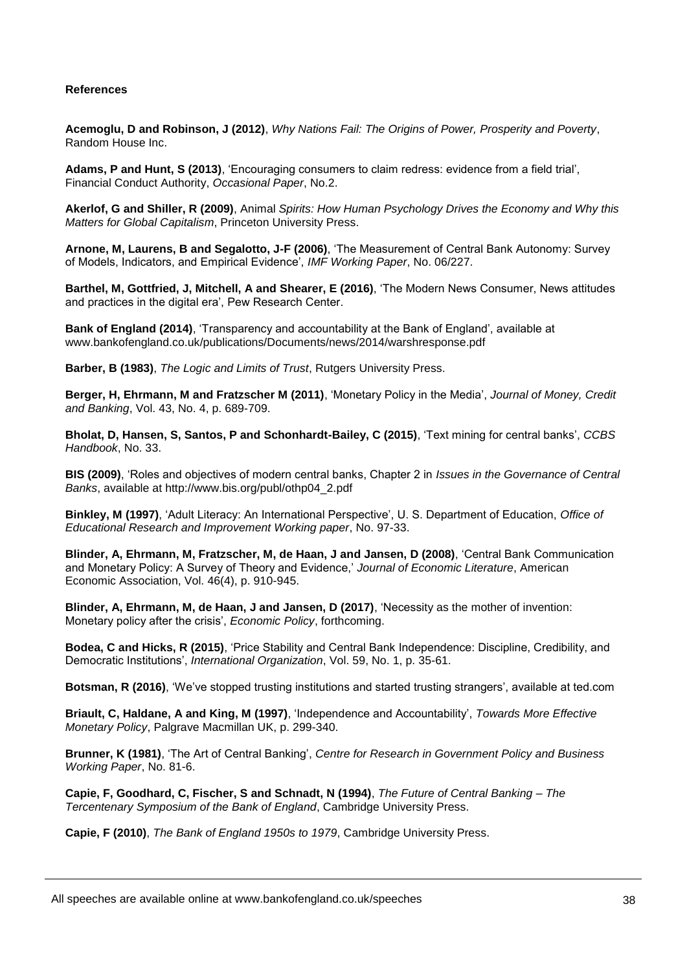#### **References**

**Acemoglu, D and Robinson, J (2012)**, *Why Nations Fail: The Origins of Power, Prosperity and Poverty*, Random House Inc.

**Adams, P and Hunt, S (2013)**, 'Encouraging consumers to claim redress: evidence from a field trial', Financial Conduct Authority, *Occasional Paper*, No.2.

**Akerlof, G and Shiller, R (2009)**, Animal *Spirits: How Human Psychology Drives the Economy and Why this Matters for Global Capitalism*, Princeton University Press.

**Arnone, M, Laurens, B and Segalotto, J-F (2006)**, 'The Measurement of Central Bank Autonomy: Survey of Models, Indicators, and Empirical Evidence', *IMF Working Paper*, No. 06/227.

**Barthel, M, Gottfried, J, Mitchell, A and Shearer, E (2016)**, 'The Modern News Consumer, News attitudes and practices in the digital era', Pew Research Center.

**Bank of England (2014)**, 'Transparency and accountability at the Bank of England', available at www.bankofengland.co.uk/publications/Documents/news/2014/warshresponse.pdf

**Barber, B (1983)**, *The Logic and Limits of Trust*, Rutgers University Press.

**Berger, H, Ehrmann, M and Fratzscher M (2011)**, 'Monetary Policy in the Media', *Journal of Money, Credit and Banking*, Vol. 43, No. 4, p. 689-709.

**Bholat, D, Hansen, S, Santos, P and Schonhardt-Bailey, C (2015)**, 'Text mining for central banks', *CCBS Handbook*, No. 33.

**BIS (2009)**, 'Roles and objectives of modern central banks, Chapter 2 in *Issues in the Governance of Central Banks*, available at http://www.bis.org/publ/othp04\_2.pdf

**Binkley, M (1997)**, 'Adult Literacy: An International Perspective', U. S. Department of Education, *Office of Educational Research and Improvement Working paper*, No. 97-33.

**Blinder, A, Ehrmann, M, Fratzscher, M, de Haan, J and Jansen, D (2008)**, 'Central Bank Communication and Monetary Policy: A Survey of Theory and Evidence,' *Journal of Economic Literature*, American Economic Association, Vol. 46(4), p. 910-945.

**Blinder, A, Ehrmann, M, de Haan, J and Jansen, D (2017)**, 'Necessity as the mother of invention: Monetary policy after the crisis', *Economic Policy*, forthcoming.

**Bodea, C and Hicks, R (2015)**, 'Price Stability and Central Bank Independence: Discipline, Credibility, and Democratic Institutions', *International Organization*, Vol. 59, No. 1, p. 35-61.

**Botsman, R (2016)**, 'We've stopped trusting institutions and started trusting strangers', available at ted.com

**Briault, C, Haldane, A and King, M (1997)**, 'Independence and Accountability', *Towards More Effective Monetary Policy*, Palgrave Macmillan UK, p. 299-340.

**Brunner, K (1981)**, 'The Art of Central Banking', *Centre for Research in Government Policy and Business Working Paper*, No. 81-6.

**Capie, F, Goodhard, C, Fischer, S and Schnadt, N (1994)**, *The Future of Central Banking – The Tercentenary Symposium of the Bank of England*, Cambridge University Press.

**Capie, F (2010)**, *The Bank of England 1950s to 1979*, Cambridge University Press.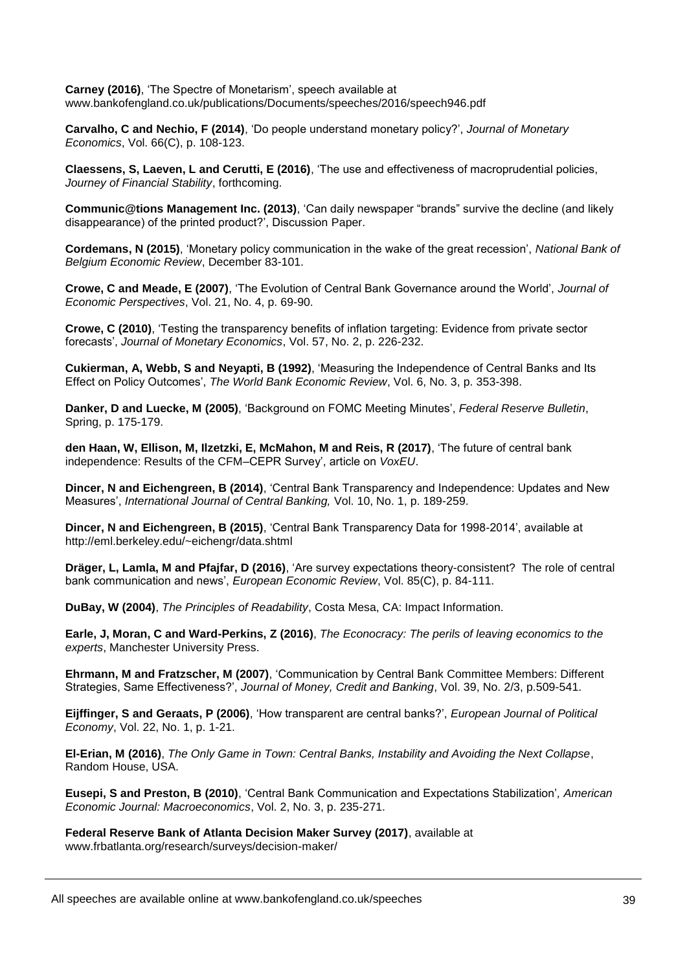**Carney (2016)**, 'The Spectre of Monetarism', speech available at www.bankofengland.co.uk/publications/Documents/speeches/2016/speech946.pdf

**Carvalho, C and Nechio, F (2014)**, 'Do people understand monetary policy?', *Journal of Monetary Economics*, Vol. 66(C), p. 108-123.

**Claessens, S, Laeven, L and Cerutti, E (2016)**, 'The use and effectiveness of macroprudential policies, *Journey of Financial Stability*, forthcoming.

**Communic@tions Management Inc. (2013)**, 'Can daily newspaper "brands" survive the decline (and likely disappearance) of the printed product?', Discussion Paper.

**Cordemans, N (2015)**, 'Monetary policy communication in the wake of the great recession', *National Bank of Belgium Economic Review*, December 83-101.

**Crowe, C and Meade, E (2007)**, 'The Evolution of Central Bank Governance around the World', *Journal of Economic Perspectives*, Vol. 21, No. 4, p. 69-90.

**Crowe, C (2010)**, 'Testing the transparency benefits of inflation targeting: Evidence from private sector forecasts', *Journal of Monetary Economics*, Vol. 57, No. 2, p. 226-232.

**Cukierman, A, Webb, S and Neyapti, B (1992)**, 'Measuring the Independence of Central Banks and Its Effect on Policy Outcomes', *The World Bank Economic Review*, Vol. 6, No. 3, p. 353-398.

**Danker, D and Luecke, M (2005)**, 'Background on FOMC Meeting Minutes', *Federal Reserve Bulletin*, Spring, p. 175-179.

**den Haan, W, Ellison, M, Ilzetzki, E, McMahon, M and Reis, R (2017)**, 'The future of central bank independence: Results of the CFM–CEPR Survey', article on *VoxEU*.

**Dincer, N and Eichengreen, B (2014)**, 'Central Bank Transparency and Independence: Updates and New Measures', *International Journal of Central Banking,* Vol. 10, No. 1, p. 189-259.

**Dincer, N and Eichengreen, B (2015)**, 'Central Bank Transparency Data for 1998-2014', available at http://eml.berkeley.edu/~eichengr/data.shtml

**Dräger, L, Lamla, M and Pfajfar, D (2016)**, 'Are survey expectations theory-consistent? The role of central bank communication and news', *European Economic Review*, Vol. 85(C), p. 84-111.

**DuBay, W (2004)**, *The Principles of Readability*, Costa Mesa, CA: Impact Information.

**Earle, J, Moran, C and Ward-Perkins, Z (2016)**, *The Econocracy: The perils of leaving economics to the experts*, Manchester University Press.

**Ehrmann, M and Fratzscher, M (2007)**, 'Communication by Central Bank Committee Members: Different Strategies, Same Effectiveness?', *Journal of Money, Credit and Banking*, Vol. 39, No. 2/3, p.509-541.

**Eijffinger, S and Geraats, P (2006)**, 'How transparent are central banks?', *European Journal of Political Economy*, Vol. 22, No. 1, p. 1-21.

**El-Erian, M (2016)**, *The Only Game in Town: Central Banks, Instability and Avoiding the Next Collapse*, Random House, USA.

**Eusepi, S and Preston, B (2010)**, 'Central Bank Communication and Expectations Stabilization'*, American Economic Journal: Macroeconomics*, Vol. 2, No. 3, p. 235-271.

**Federal Reserve Bank of Atlanta Decision Maker Survey (2017)**, available at www.frbatlanta.org/research/surveys/decision-maker/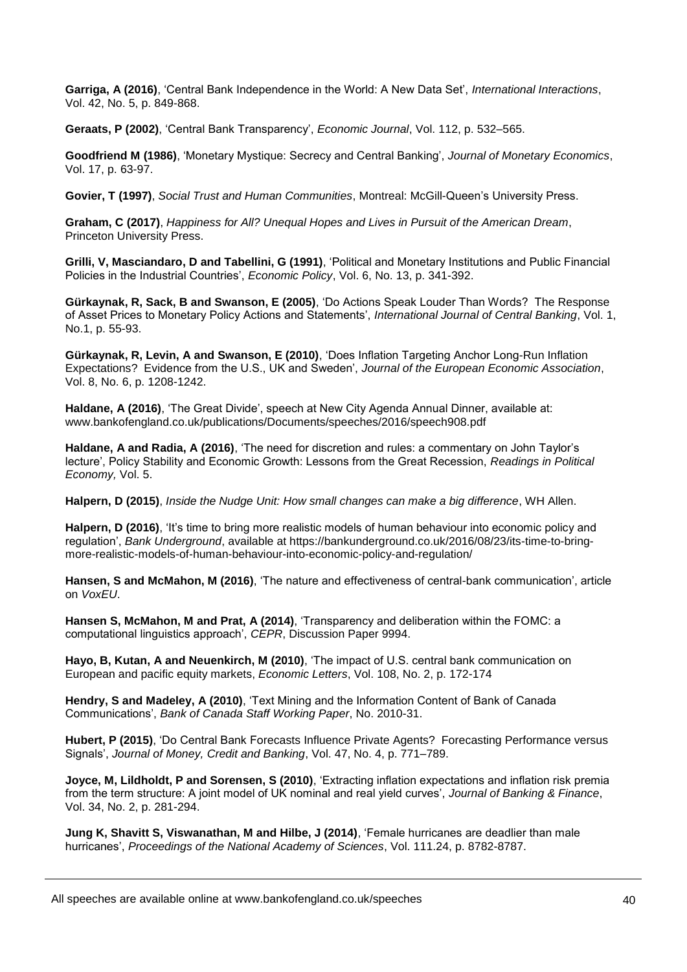**Garriga, A (2016)**, 'Central Bank Independence in the World: A New Data Set', *International Interactions*, Vol. 42, No. 5, p. 849-868.

**Geraats, P (2002)**, 'Central Bank Transparency', *Economic Journal*, Vol. 112, p. 532–565.

**Goodfriend M (1986)**, 'Monetary Mystique: Secrecy and Central Banking', *Journal of Monetary Economics*, Vol. 17, p. 63-97.

**Govier, T (1997)**, *Social Trust and Human Communities*, Montreal: McGill-Queen's University Press.

**Graham, C (2017)**, *Happiness for All? Unequal Hopes and Lives in Pursuit of the American Dream*, Princeton University Press.

**Grilli, V, Masciandaro, D and Tabellini, G (1991)**, 'Political and Monetary Institutions and Public Financial Policies in the Industrial Countries', *Economic Policy*, Vol. 6, No. 13, p. 341-392.

**Gürkaynak, R, Sack, B and Swanson, E (2005)**, 'Do Actions Speak Louder Than Words? The Response of Asset Prices to Monetary Policy Actions and Statements', *International Journal of Central Banking*, Vol. 1, No.1, p. 55-93.

**Gürkaynak, R, Levin, A and Swanson, E (2010)**, 'Does Inflation Targeting Anchor Long-Run Inflation Expectations? Evidence from the U.S., UK and Sweden', *Journal of the European Economic Association*, Vol. 8, No. 6, p. 1208-1242.

**Haldane, A (2016)**, 'The Great Divide', speech at New City Agenda Annual Dinner, available at: www.bankofengland.co.uk/publications/Documents/speeches/2016/speech908.pdf

**Haldane, A and Radia, A (2016)**, 'The need for discretion and rules: a commentary on John Taylor's lecture', Policy Stability and Economic Growth: Lessons from the Great Recession, *Readings in Political Economy,* Vol. 5.

**Halpern, D (2015)**, *Inside the Nudge Unit: How small changes can make a big difference*, WH Allen.

**Halpern, D (2016)**, 'It's time to bring more realistic models of human behaviour into economic policy and regulation', *Bank Underground*, available at https://bankunderground.co.uk/2016/08/23/its-time-to-bringmore-realistic-models-of-human-behaviour-into-economic-policy-and-regulation/

**Hansen, S and McMahon, M (2016)**, 'The nature and effectiveness of central-bank communication', article on *VoxEU*.

**Hansen S, McMahon, M and Prat, A (2014)**, 'Transparency and deliberation within the FOMC: a computational linguistics approach', *CEPR*, Discussion Paper 9994.

**Hayo, B, Kutan, A and Neuenkirch, M (2010)**, 'The impact of U.S. central bank communication on European and pacific equity markets, *Economic Letters*, Vol. 108, No. 2, p. 172-174

**Hendry, S and Madeley, A (2010)**, 'Text Mining and the Information Content of Bank of Canada Communications', *Bank of Canada Staff Working Paper*, No. 2010-31.

**Hubert, P (2015)**, 'Do Central Bank Forecasts Influence Private Agents? Forecasting Performance versus Signals', *Journal of Money, Credit and Banking*, Vol. 47, No. 4, p. 771–789.

**Joyce, M, Lildholdt, P and Sorensen, S (2010)**, 'Extracting inflation expectations and inflation risk premia from the term structure: A joint model of UK nominal and real yield curves', *Journal of Banking & Finance*, Vol. 34, No. 2, p. 281-294.

**Jung K, Shavitt S, Viswanathan, M and Hilbe, J (2014)**, 'Female hurricanes are deadlier than male hurricanes', *Proceedings of the National Academy of Sciences*, Vol. 111.24, p. 8782-8787.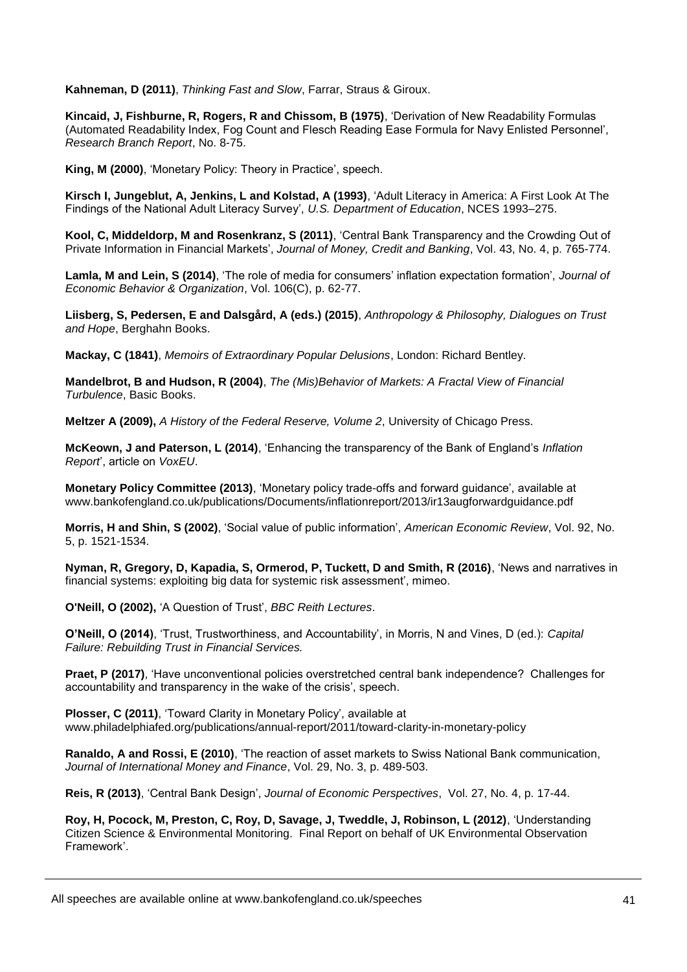**Kahneman, D (2011)**, *Thinking Fast and Slow*, Farrar, Straus & Giroux.

**Kincaid, J, Fishburne, R, Rogers, R and Chissom, B (1975)**, 'Derivation of New Readability Formulas (Automated Readability Index, Fog Count and Flesch Reading Ease Formula for Navy Enlisted Personnel', *Research Branch Report*, No. 8-75.

**King, M (2000)**, 'Monetary Policy: Theory in Practice', speech.

**Kirsch I, Jungeblut, A, Jenkins, L and Kolstad, A (1993)**, 'Adult Literacy in America: A First Look At The Findings of the National Adult Literacy Survey', *U.S. Department of Education*, NCES 1993–275.

**Kool, C, Middeldorp, M and Rosenkranz, S (2011)**, 'Central Bank Transparency and the Crowding Out of Private Information in Financial Markets', *Journal of Money, Credit and Banking*, Vol. 43, No. 4, p. 765-774.

**Lamla, M and Lein, S (2014)**, 'The role of media for consumers' inflation expectation formation', *Journal of Economic Behavior & Organization*, Vol. 106(C), p. 62-77.

**Liisberg, S, Pedersen, E and Dalsgård, A (eds.) (2015)**, *Anthropology & Philosophy, Dialogues on Trust and Hope*, Berghahn Books.

**Mackay, C (1841)**, *Memoirs of Extraordinary Popular Delusions*, London: Richard Bentley.

**Mandelbrot, B and Hudson, R (2004)**, *The (Mis)Behavior of Markets: A Fractal View of Financial Turbulence*, Basic Books.

**Meltzer A (2009),** *A History of the Federal Reserve, Volume 2*, University of Chicago Press.

**McKeown, J and Paterson, L (2014)**, 'Enhancing the transparency of the Bank of England's *Inflation Report*', article on *VoxEU*.

**Monetary Policy Committee (2013)**, 'Monetary policy trade-offs and forward guidance', available at www.bankofengland.co.uk/publications/Documents/inflationreport/2013/ir13augforwardguidance.pdf

**Morris, H and Shin, S (2002)**, 'Social value of public information', *American Economic Review*, Vol. 92, No. 5, p. 1521-1534.

**Nyman, R, Gregory, D, Kapadia, S, Ormerod, P, Tuckett, D and Smith, R (2016)**, 'News and narratives in financial systems: exploiting big data for systemic risk assessment', mimeo.

**O'Neill, O (2002),** 'A Question of Trust', *BBC Reith Lectures*.

**O'Neill, O (2014)**, 'Trust, Trustworthiness, and Accountability', in Morris, N and Vines, D (ed.): *Capital Failure: Rebuilding Trust in Financial Services.*

**Praet, P (2017)**, 'Have unconventional policies overstretched central bank independence? Challenges for accountability and transparency in the wake of the crisis', speech.

**Plosser, C (2011)**, 'Toward Clarity in Monetary Policy', available at www.philadelphiafed.org/publications/annual-report/2011/toward-clarity-in-monetary-policy

**Ranaldo, A and Rossi, E (2010)**, 'The reaction of asset markets to Swiss National Bank communication, *Journal of International Money and Finance*, Vol. 29, No. 3, p. 489-503.

**Reis, R (2013)**, 'Central Bank Design', *Journal of Economic Perspectives*, Vol. 27, No. 4, p. 17-44.

**Roy, H, Pocock, M, Preston, C, Roy, D, Savage, J, Tweddle, J, Robinson, L (2012)**, 'Understanding Citizen Science & Environmental Monitoring. Final Report on behalf of UK Environmental Observation Framework'.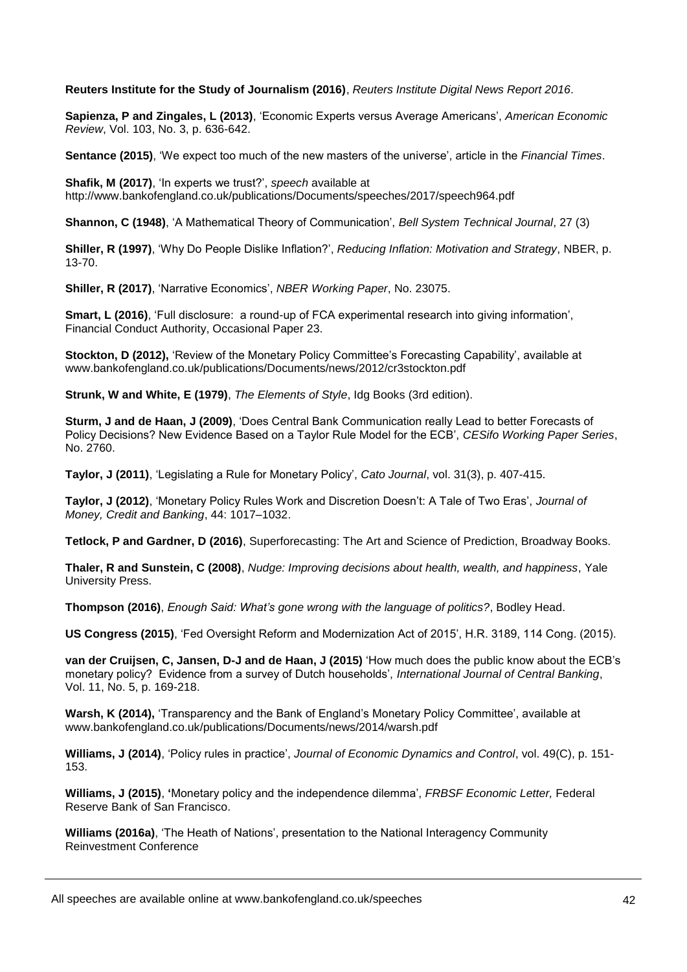**Reuters Institute for the Study of Journalism (2016)**, *Reuters Institute Digital News Report 2016*.

**Sapienza, P and Zingales, L (2013)**, 'Economic Experts versus Average Americans', *American Economic Review*, Vol. 103, No. 3, p. 636-642.

**Sentance (2015)**, 'We expect too much of the new masters of the universe', article in the *Financial Times*.

**Shafik, M (2017)**, 'In experts we trust?', *speech* available at <http://www.bankofengland.co.uk/publications/Documents/speeches/2017/speech964.pdf>

**Shannon, C (1948)**, 'A Mathematical Theory of Communication', *Bell System Technical Journal*, 27 (3)

**Shiller, R (1997)**, 'Why Do People Dislike Inflation?', *Reducing Inflation: Motivation and Strategy*, NBER, p. 13-70.

**Shiller, R (2017)**, 'Narrative Economics', *NBER Working Paper*, No. 23075.

**Smart, L (2016)**, 'Full disclosure: a round-up of FCA experimental research into giving information', Financial Conduct Authority, Occasional Paper 23.

**Stockton, D (2012),** 'Review of the Monetary Policy Committee's Forecasting Capability', available at www.bankofengland.co.uk/publications/Documents/news/2012/cr3stockton.pdf

**Strunk, W and White, E (1979)**, *The Elements of Style*, Idg Books (3rd edition).

**Sturm, J and de Haan, J (2009)**, 'Does Central Bank Communication really Lead to better Forecasts of Policy Decisions? New Evidence Based on a Taylor Rule Model for the ECB', *CESifo Working Paper Series*, No. 2760.

**Taylor, J (2011)**, 'Legislating a Rule for Monetary Policy', *Cato Journal*, vol. 31(3), p. 407-415.

**Taylor, J (2012)**, 'Monetary Policy Rules Work and Discretion Doesn't: A Tale of Two Eras', *Journal of Money, Credit and Banking*, 44: 1017–1032.

**Tetlock, P and Gardner, D (2016)**, Superforecasting: The Art and Science of Prediction, Broadway Books.

**Thaler, R and Sunstein, C (2008)**, *Nudge: Improving decisions about health, wealth, and happiness*, Yale University Press.

**Thompson (2016)**, *Enough Said: What's gone wrong with the language of politics?*, Bodley Head.

**US Congress (2015)**, 'Fed Oversight Reform and Modernization Act of 2015', H.R. 3189, 114 Cong. (2015).

**van der Cruijsen, C, Jansen, D-J and de Haan, J (2015)** 'How much does the public know about the ECB's monetary policy? Evidence from a survey of Dutch households', *International Journal of Central Banking*, Vol. 11, No. 5, p. 169-218.

**Warsh, K (2014),** 'Transparency and the Bank of England's Monetary Policy Committee', available at www.bankofengland.co.uk/publications/Documents/news/2014/warsh.pdf

**Williams, J (2014)**, 'Policy rules in practice', *Journal of Economic Dynamics and Control*, vol. 49(C), p. 151- 153.

**Williams, J (2015)**, **'**Monetary policy and the independence dilemma', *FRBSF Economic Letter,* Federal Reserve Bank of San Francisco.

**Williams (2016a)**, 'The Heath of Nations', presentation to the National Interagency Community Reinvestment Conference